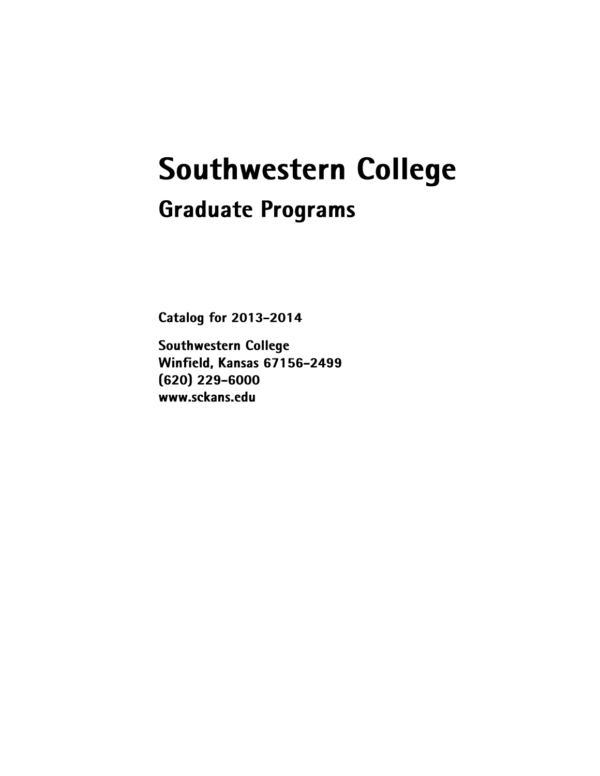# **Southwestern College Graduate Programs**

**Catalog for 2013-2014** 

**Southwestern College** Winfield, Kansas 67156-2499  $(620)$  229-6000 www.sckans.edu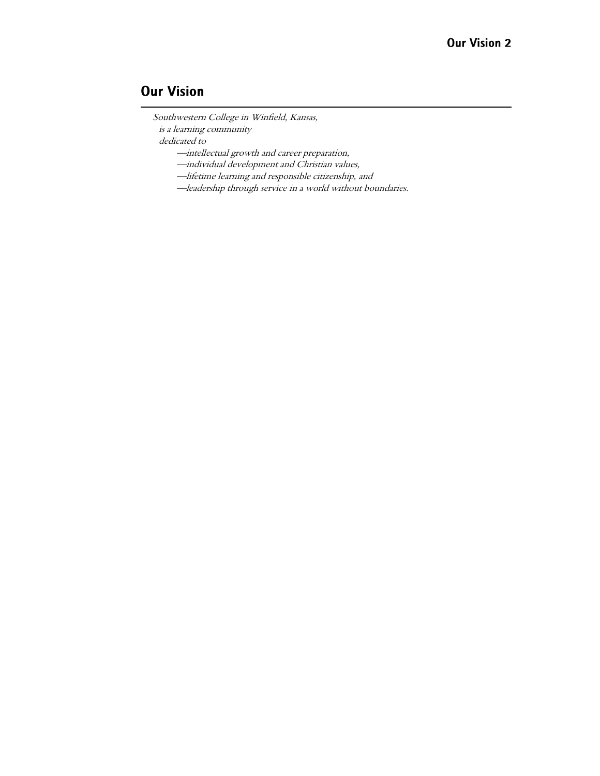## **Our Vision**

Southwestern College in Winfield, Kansas, is a learning community

dedicated to

—intellectual growth and career preparation,

—individual development and Christian values,

—lifetime learning and responsible citizenship, and

—leadership through service in a world without boundaries.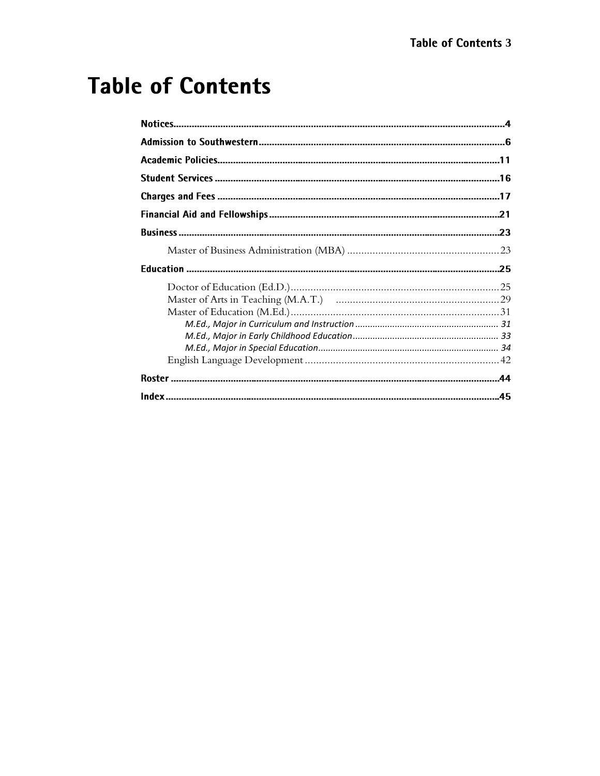## **Table of Contents**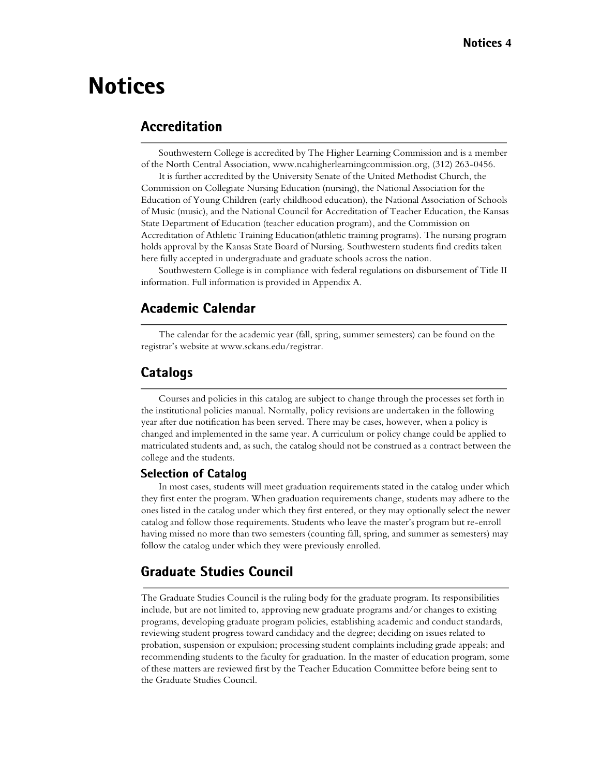## **Notices**

## **Accreditation**

Southwestern College is accredited by The Higher Learning Commission and is a member of the North Central Association, www.ncahigherlearningcommission.org, (312) 263-0456.

It is further accredited by the University Senate of the United Methodist Church, the Commission on Collegiate Nursing Education (nursing), the National Association for the Education of Young Children (early childhood education), the National Association of Schools of Music (music), and the National Council for Accreditation of Teacher Education, the Kansas State Department of Education (teacher education program), and the Commission on Accreditation of Athletic Training Education(athletic training programs). The nursing program holds approval by the Kansas State Board of Nursing. Southwestern students find credits taken here fully accepted in undergraduate and graduate schools across the nation.

Southwestern College is in compliance with federal regulations on disbursement of Title II information. Full information is provided in Appendix A.

## **Academic Calendar**

The calendar for the academic year (fall, spring, summer semesters) can be found on the registrar's website at www.sckans.edu/registrar.

## **Catalogs**

Courses and policies in this catalog are subject to change through the processes set forth in the institutional policies manual. Normally, policy revisions are undertaken in the following year after due notification has been served. There may be cases, however, when a policy is changed and implemented in the same year. A curriculum or policy change could be applied to matriculated students and, as such, the catalog should not be construed as a contract between the college and the students.

#### **Selection of Catalog**

In most cases, students will meet graduation requirements stated in the catalog under which they first enter the program. When graduation requirements change, students may adhere to the ones listed in the catalog under which they first entered, or they may optionally select the newer catalog and follow those requirements. Students who leave the master's program but re-enroll having missed no more than two semesters (counting fall, spring, and summer as semesters) may follow the catalog under which they were previously enrolled.

## **Graduate Studies Council**

The Graduate Studies Council is the ruling body for the graduate program. Its responsibilities include, but are not limited to, approving new graduate programs and/or changes to existing programs, developing graduate program policies, establishing academic and conduct standards, reviewing student progress toward candidacy and the degree; deciding on issues related to probation, suspension or expulsion; processing student complaints including grade appeals; and recommending students to the faculty for graduation. In the master of education program, some of these matters are reviewed first by the Teacher Education Committee before being sent to the Graduate Studies Council.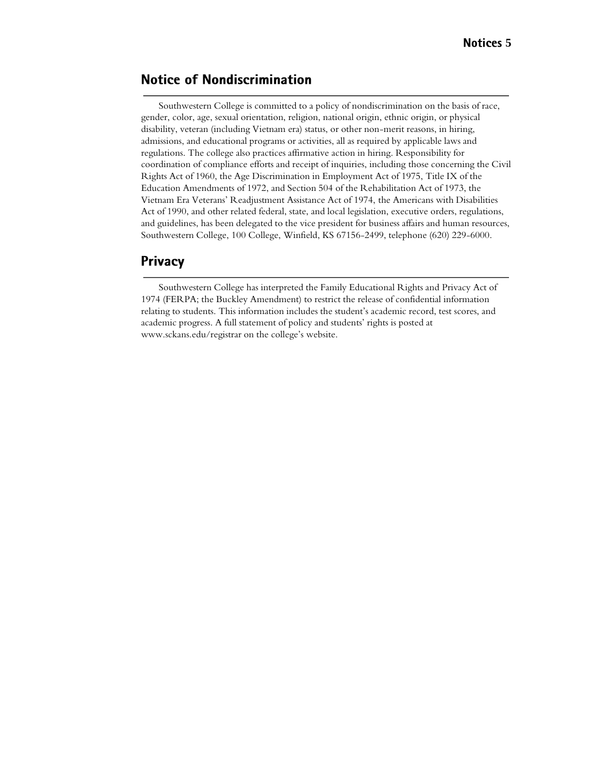## **Notice of Nondiscrimination**

Southwestern College is committed to a policy of nondiscrimination on the basis of race, gender, color, age, sexual orientation, religion, national origin, ethnic origin, or physical disability, veteran (including Vietnam era) status, or other non-merit reasons, in hiring, admissions, and educational programs or activities, all as required by applicable laws and regulations. The college also practices affirmative action in hiring. Responsibility for coordination of compliance efforts and receipt of inquiries, including those concerning the Civil Rights Act of 1960, the Age Discrimination in Employment Act of 1975, Title IX of the Education Amendments of 1972, and Section 504 of the Rehabilitation Act of 1973, the Vietnam Era Veterans' Readjustment Assistance Act of 1974, the Americans with Disabilities Act of 1990, and other related federal, state, and local legislation, executive orders, regulations, and guidelines, has been delegated to the vice president for business affairs and human resources, Southwestern College, 100 College, Winfield, KS 67156-2499, telephone (620) 229-6000.

### **Privacy**

Southwestern College has interpreted the Family Educational Rights and Privacy Act of 1974 (FERPA; the Buckley Amendment) to restrict the release of confidential information relating to students. This information includes the student's academic record, test scores, and academic progress. A full statement of policy and students' rights is posted at www.sckans.edu/registrar on the college's website.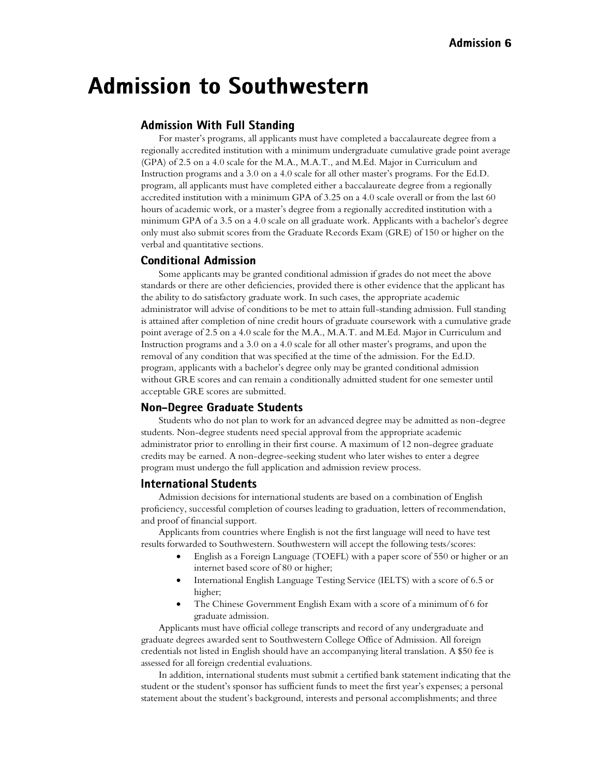## **Admission to Southwestern**

#### **Admission With Full Standing**

For master's programs, all applicants must have completed a baccalaureate degree from a regionally accredited institution with a minimum undergraduate cumulative grade point average (GPA) of 2.5 on a 4.0 scale for the M.A., M.A.T., and M.Ed. Major in Curriculum and Instruction programs and a 3.0 on a 4.0 scale for all other master's programs. For the Ed.D. program, all applicants must have completed either a baccalaureate degree from a regionally accredited institution with a minimum GPA of 3.25 on a 4.0 scale overall or from the last 60 hours of academic work, or a master's degree from a regionally accredited institution with a minimum GPA of a 3.5 on a 4.0 scale on all graduate work. Applicants with a bachelor's degree only must also submit scores from the Graduate Records Exam (GRE) of 150 or higher on the verbal and quantitative sections.

#### **Conditional Admission**

Some applicants may be granted conditional admission if grades do not meet the above standards or there are other deficiencies, provided there is other evidence that the applicant has the ability to do satisfactory graduate work. In such cases, the appropriate academic administrator will advise of conditions to be met to attain full-standing admission. Full standing is attained after completion of nine credit hours of graduate coursework with a cumulative grade point average of 2.5 on a 4.0 scale for the M.A., M.A.T. and M.Ed. Major in Curriculum and Instruction programs and a 3.0 on a 4.0 scale for all other master's programs, and upon the removal of any condition that was specified at the time of the admission. For the Ed.D. program, applicants with a bachelor's degree only may be granted conditional admission without GRE scores and can remain a conditionally admitted student for one semester until acceptable GRE scores are submitted.

#### **Non-Degree Graduate Students**

Students who do not plan to work for an advanced degree may be admitted as non-degree students. Non-degree students need special approval from the appropriate academic administrator prior to enrolling in their first course. A maximum of 12 non-degree graduate credits may be earned. A non-degree-seeking student who later wishes to enter a degree program must undergo the full application and admission review process.

#### **International Students**

Admission decisions for international students are based on a combination of English proficiency, successful completion of courses leading to graduation, letters of recommendation, and proof of financial support.

Applicants from countries where English is not the first language will need to have test results forwarded to Southwestern. Southwestern will accept the following tests/scores:

- English as a Foreign Language (TOEFL) with a paper score of 550 or higher or an internet based score of 80 or higher;
- International English Language Testing Service (IELTS) with a score of 6.5 or higher;
- The Chinese Government English Exam with a score of a minimum of 6 for graduate admission.

Applicants must have official college transcripts and record of any undergraduate and graduate degrees awarded sent to Southwestern College Office of Admission. All foreign credentials not listed in English should have an accompanying literal translation. A \$50 fee is assessed for all foreign credential evaluations.

In addition, international students must submit a certified bank statement indicating that the student or the student's sponsor has sufficient funds to meet the first year's expenses; a personal statement about the student's background, interests and personal accomplishments; and three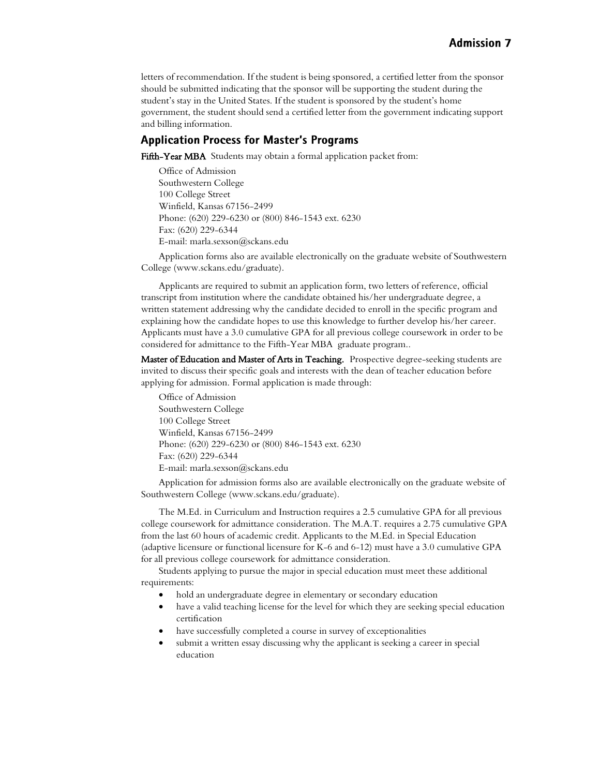letters of recommendation. If the student is being sponsored, a certified letter from the sponsor should be submitted indicating that the sponsor will be supporting the student during the student's stay in the United States. If the student is sponsored by the student's home government, the student should send a certified letter from the government indicating support and billing information.

#### **Application Process for Master's Programs**

Fifth-Year MBA Students may obtain a formal application packet from:

Office of Admission Southwestern College 100 College Street Winfield, Kansas 67156-2499 Phone: (620) 229-6230 or (800) 846-1543 ext. 6230 Fax: (620) 229-6344 E-mail: marla.sexson@sckans.edu

Application forms also are available electronically on the graduate website of Southwestern College (www.sckans.edu/graduate).

Applicants are required to submit an application form, two letters of reference, official transcript from institution where the candidate obtained his/her undergraduate degree, a written statement addressing why the candidate decided to enroll in the specific program and explaining how the candidate hopes to use this knowledge to further develop his/her career. Applicants must have a 3.0 cumulative GPA for all previous college coursework in order to be considered for admittance to the Fifth-Year MBA graduate program..

Master of Education and Master of Arts in Teaching. Prospective degree-seeking students are invited to discuss their specific goals and interests with the dean of teacher education before applying for admission. Formal application is made through:

Office of Admission Southwestern College 100 College Street Winfield, Kansas 67156-2499 Phone: (620) 229-6230 or (800) 846-1543 ext. 6230 Fax: (620) 229-6344 E-mail: marla.sexson@sckans.edu

Application for admission forms also are available electronically on the graduate website of Southwestern College (www.sckans.edu/graduate).

The M.Ed. in Curriculum and Instruction requires a 2.5 cumulative GPA for all previous college coursework for admittance consideration. The M.A.T. requires a 2.75 cumulative GPA from the last 60 hours of academic credit. Applicants to the M.Ed. in Special Education (adaptive licensure or functional licensure for K-6 and 6-12) must have a 3.0 cumulative GPA for all previous college coursework for admittance consideration.

Students applying to pursue the major in special education must meet these additional requirements:

- hold an undergraduate degree in elementary or secondary education
- have a valid teaching license for the level for which they are seeking special education certification
- have successfully completed a course in survey of exceptionalities
- submit a written essay discussing why the applicant is seeking a career in special education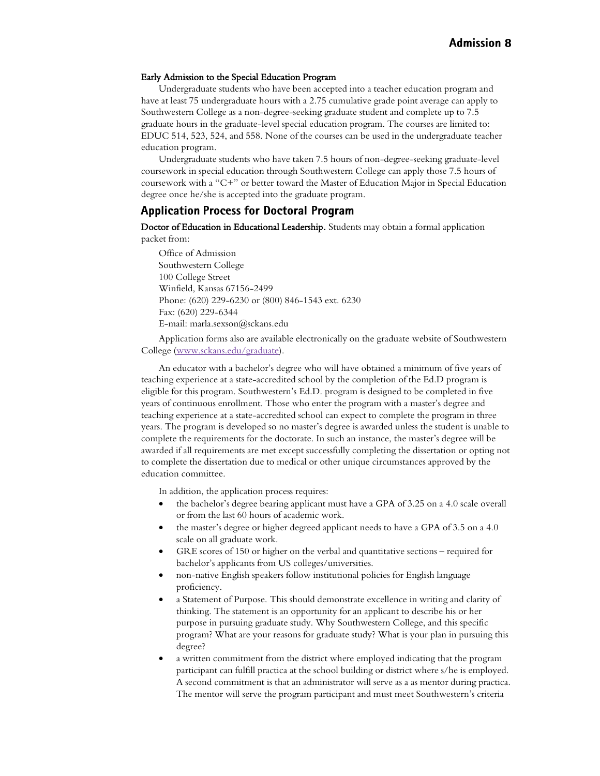#### Early Admission to the Special Education Program

Undergraduate students who have been accepted into a teacher education program and have at least 75 undergraduate hours with a 2.75 cumulative grade point average can apply to Southwestern College as a non-degree-seeking graduate student and complete up to 7.5 graduate hours in the graduate-level special education program. The courses are limited to: EDUC 514, 523, 524, and 558. None of the courses can be used in the undergraduate teacher education program.

Undergraduate students who have taken 7.5 hours of non-degree-seeking graduate-level coursework in special education through Southwestern College can apply those 7.5 hours of coursework with a "C+" or better toward the Master of Education Major in Special Education degree once he/she is accepted into the graduate program.

#### **Application Process for Doctoral Program**

Doctor of Education in Educational Leadership. Students may obtain a formal application packet from:

Office of Admission Southwestern College 100 College Street Winfield, Kansas 67156-2499 Phone: (620) 229-6230 or (800) 846-1543 ext. 6230 Fax: (620) 229-6344 E-mail: marla.sexson@sckans.edu

Application forms also are available electronically on the graduate website of Southwestern College [\(www.sckans.edu/graduate\)](http://www.sckans.edu/graduate).

An educator with a bachelor's degree who will have obtained a minimum of five years of teaching experience at a state-accredited school by the completion of the Ed.D program is eligible for this program. Southwestern's Ed.D. program is designed to be completed in five years of continuous enrollment. Those who enter the program with a master's degree and teaching experience at a state-accredited school can expect to complete the program in three years. The program is developed so no master's degree is awarded unless the student is unable to complete the requirements for the doctorate. In such an instance, the master's degree will be awarded if all requirements are met except successfully completing the dissertation or opting not to complete the dissertation due to medical or other unique circumstances approved by the education committee.

In addition, the application process requires:

- the bachelor's degree bearing applicant must have a GPA of 3.25 on a 4.0 scale overall or from the last 60 hours of academic work.
- the master's degree or higher degreed applicant needs to have a GPA of 3.5 on a 4.0 scale on all graduate work.
- GRE scores of 150 or higher on the verbal and quantitative sections required for bachelor's applicants from US colleges/universities.
- non-native English speakers follow institutional policies for English language proficiency.
- a Statement of Purpose. This should demonstrate excellence in writing and clarity of thinking. The statement is an opportunity for an applicant to describe his or her purpose in pursuing graduate study. Why Southwestern College, and this specific program? What are your reasons for graduate study? What is your plan in pursuing this degree?
- a written commitment from the district where employed indicating that the program participant can fulfill practica at the school building or district where s/he is employed. A second commitment is that an administrator will serve as a as mentor during practica. The mentor will serve the program participant and must meet Southwestern's criteria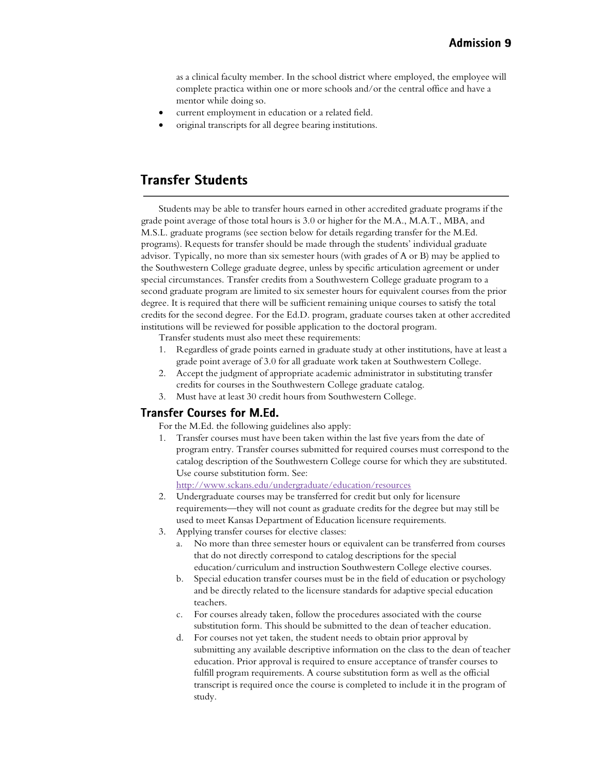as a clinical faculty member. In the school district where employed, the employee will complete practica within one or more schools and/or the central office and have a mentor while doing so.

- current employment in education or a related field.
- original transcripts for all degree bearing institutions.

## **Transfer Students**

Students may be able to transfer hours earned in other accredited graduate programs if the grade point average of those total hours is 3.0 or higher for the M.A., M.A.T., MBA, and M.S.L. graduate programs (see section below for details regarding transfer for the M.Ed. programs). Requests for transfer should be made through the students' individual graduate advisor. Typically, no more than six semester hours (with grades of A or B) may be applied to the Southwestern College graduate degree, unless by specific articulation agreement or under special circumstances. Transfer credits from a Southwestern College graduate program to a second graduate program are limited to six semester hours for equivalent courses from the prior degree. It is required that there will be sufficient remaining unique courses to satisfy the total credits for the second degree. For the Ed.D. program, graduate courses taken at other accredited institutions will be reviewed for possible application to the doctoral program.

Transfer students must also meet these requirements:

- 1. Regardless of grade points earned in graduate study at other institutions, have at least a grade point average of 3.0 for all graduate work taken at Southwestern College.
- 2. Accept the judgment of appropriate academic administrator in substituting transfer credits for courses in the Southwestern College graduate catalog.
- 3. Must have at least 30 credit hours from Southwestern College.

#### **Transfer Courses for M.Ed.**

For the M.Ed. the following guidelines also apply:

1. Transfer courses must have been taken within the last five years from the date of program entry. Transfer courses submitted for required courses must correspond to the catalog description of the Southwestern College course for which they are substituted. Use course substitution form. See:

<http://www.sckans.edu/undergraduate/education/resources>

- 2. Undergraduate courses may be transferred for credit but only for licensure requirements—they will not count as graduate credits for the degree but may still be used to meet Kansas Department of Education licensure requirements.
- 3. Applying transfer courses for elective classes:
	- a. No more than three semester hours or equivalent can be transferred from courses that do not directly correspond to catalog descriptions for the special education/curriculum and instruction Southwestern College elective courses.
	- b. Special education transfer courses must be in the field of education or psychology and be directly related to the licensure standards for adaptive special education teachers.
	- c. For courses already taken, follow the procedures associated with the course substitution form. This should be submitted to the dean of teacher education.
	- d. For courses not yet taken, the student needs to obtain prior approval by submitting any available descriptive information on the class to the dean of teacher education. Prior approval is required to ensure acceptance of transfer courses to fulfill program requirements. A course substitution form as well as the official transcript is required once the course is completed to include it in the program of study.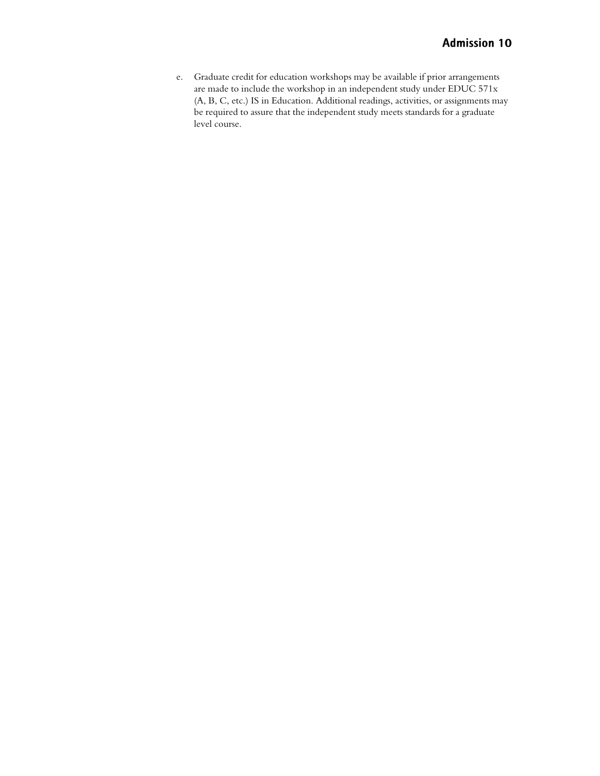e. Graduate credit for education workshops may be available if prior arrangements are made to include the workshop in an independent study under EDUC 571x (A, B, C, etc.) IS in Education. Additional readings, activities, or assignments may be required to assure that the independent study meets standards for a graduate level course.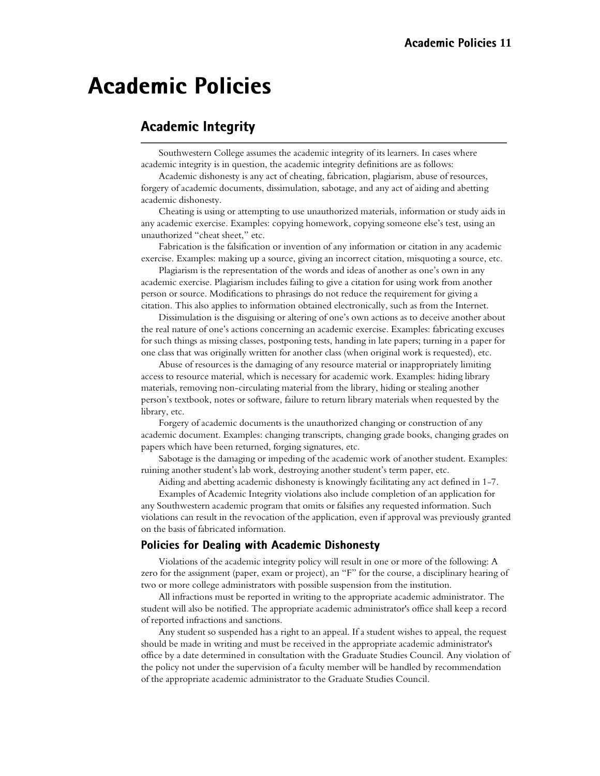## **Academic Policies**

## **Academic Integrity**

Southwestern College assumes the academic integrity of its learners. In cases where academic integrity is in question, the academic integrity definitions are as follows:

Academic dishonesty is any act of cheating, fabrication, plagiarism, abuse of resources, forgery of academic documents, dissimulation, sabotage, and any act of aiding and abetting academic dishonesty.

Cheating is using or attempting to use unauthorized materials, information or study aids in any academic exercise. Examples: copying homework, copying someone else's test, using an unauthorized "cheat sheet," etc.

Fabrication is the falsification or invention of any information or citation in any academic exercise. Examples: making up a source, giving an incorrect citation, misquoting a source, etc.

Plagiarism is the representation of the words and ideas of another as one's own in any academic exercise. Plagiarism includes failing to give a citation for using work from another person or source. Modifications to phrasings do not reduce the requirement for giving a citation. This also applies to information obtained electronically, such as from the Internet.

Dissimulation is the disguising or altering of one's own actions as to deceive another about the real nature of one's actions concerning an academic exercise. Examples: fabricating excuses for such things as missing classes, postponing tests, handing in late papers; turning in a paper for one class that was originally written for another class (when original work is requested), etc.

Abuse of resources is the damaging of any resource material or inappropriately limiting access to resource material, which is necessary for academic work. Examples: hiding library materials, removing non-circulating material from the library, hiding or stealing another person's textbook, notes or software, failure to return library materials when requested by the library, etc.

Forgery of academic documents is the unauthorized changing or construction of any academic document. Examples: changing transcripts, changing grade books, changing grades on papers which have been returned, forging signatures, etc.

Sabotage is the damaging or impeding of the academic work of another student. Examples: ruining another student's lab work, destroying another student's term paper, etc.

Aiding and abetting academic dishonesty is knowingly facilitating any act defined in 1-7.

Examples of Academic Integrity violations also include completion of an application for any Southwestern academic program that omits or falsifies any requested information. Such violations can result in the revocation of the application, even if approval was previously granted on the basis of fabricated information.

#### **Policies for Dealing with Academic Dishonesty**

Violations of the academic integrity policy will result in one or more of the following: A zero for the assignment (paper, exam or project), an "F" for the course, a disciplinary hearing of two or more college administrators with possible suspension from the institution.

All infractions must be reported in writing to the appropriate academic administrator. The student will also be notified. The appropriate academic administrator's office shall keep a record of reported infractions and sanctions.

Any student so suspended has a right to an appeal. If a student wishes to appeal, the request should be made in writing and must be received in the appropriate academic administrator's office by a date determined in consultation with the Graduate Studies Council. Any violation of the policy not under the supervision of a faculty member will be handled by recommendation of the appropriate academic administrator to the Graduate Studies Council.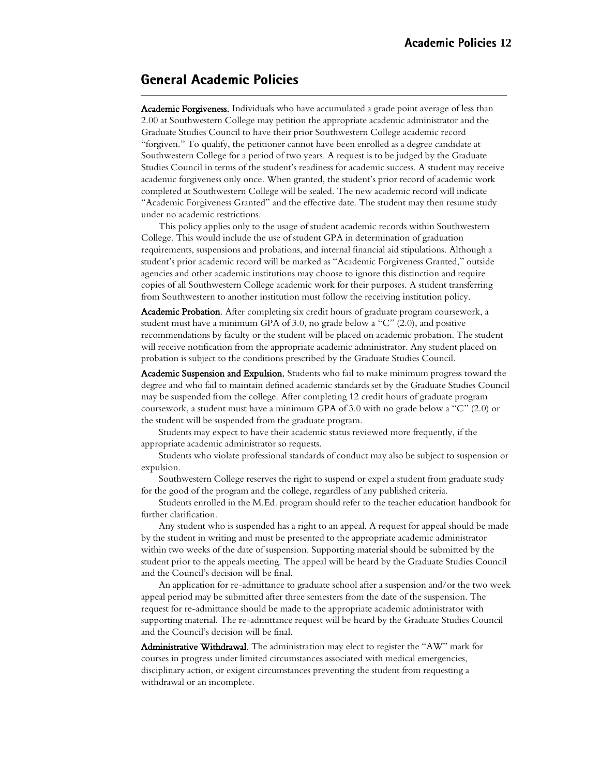## **General Academic Policies**

Academic Forgiveness. Individuals who have accumulated a grade point average of less than 2.00 at Southwestern College may petition the appropriate academic administrator and the Graduate Studies Council to have their prior Southwestern College academic record "forgiven." To qualify, the petitioner cannot have been enrolled as a degree candidate at Southwestern College for a period of two years. A request is to be judged by the Graduate Studies Council in terms of the student's readiness for academic success. A student may receive academic forgiveness only once. When granted, the student's prior record of academic work completed at Southwestern College will be sealed. The new academic record will indicate "Academic Forgiveness Granted" and the effective date. The student may then resume study under no academic restrictions.

This policy applies only to the usage of student academic records within Southwestern College. This would include the use of student GPA in determination of graduation requirements, suspensions and probations, and internal financial aid stipulations. Although a student's prior academic record will be marked as "Academic Forgiveness Granted," outside agencies and other academic institutions may choose to ignore this distinction and require copies of all Southwestern College academic work for their purposes. A student transferring from Southwestern to another institution must follow the receiving institution policy.

Academic Probation. After completing six credit hours of graduate program coursework, a student must have a minimum GPA of 3.0, no grade below a "C" (2.0), and positive recommendations by faculty or the student will be placed on academic probation. The student will receive notification from the appropriate academic administrator. Any student placed on probation is subject to the conditions prescribed by the Graduate Studies Council.

Academic Suspension and Expulsion. Students who fail to make minimum progress toward the degree and who fail to maintain defined academic standards set by the Graduate Studies Council may be suspended from the college. After completing 12 credit hours of graduate program coursework, a student must have a minimum GPA of 3.0 with no grade below a "C" (2.0) or the student will be suspended from the graduate program.

Students may expect to have their academic status reviewed more frequently, if the appropriate academic administrator so requests.

Students who violate professional standards of conduct may also be subject to suspension or expulsion.

Southwestern College reserves the right to suspend or expel a student from graduate study for the good of the program and the college, regardless of any published criteria.

Students enrolled in the M.Ed. program should refer to the teacher education handbook for further clarification.

Any student who is suspended has a right to an appeal. A request for appeal should be made by the student in writing and must be presented to the appropriate academic administrator within two weeks of the date of suspension. Supporting material should be submitted by the student prior to the appeals meeting. The appeal will be heard by the Graduate Studies Council and the Council's decision will be final.

An application for re-admittance to graduate school after a suspension and/or the two week appeal period may be submitted after three semesters from the date of the suspension. The request for re-admittance should be made to the appropriate academic administrator with supporting material. The re-admittance request will be heard by the Graduate Studies Council and the Council's decision will be final.

Administrative Withdrawal. The administration may elect to register the "AW" mark for courses in progress under limited circumstances associated with medical emergencies, disciplinary action, or exigent circumstances preventing the student from requesting a withdrawal or an incomplete.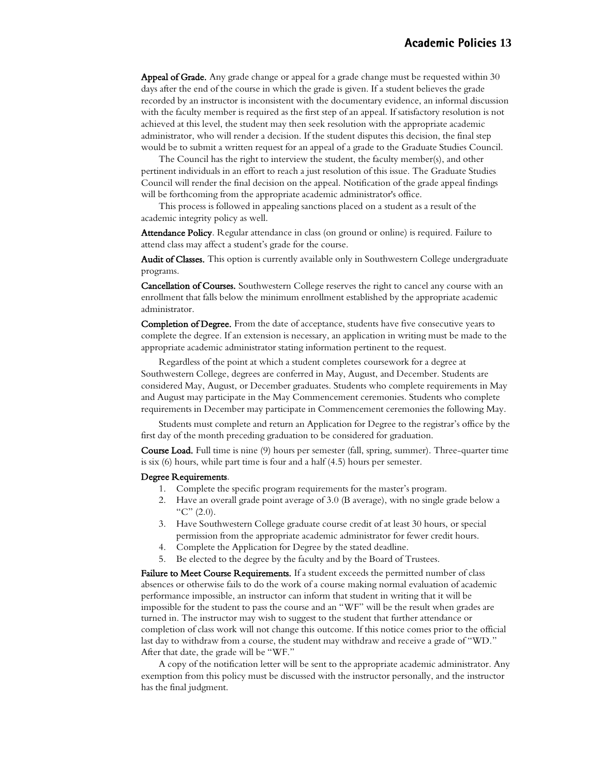Appeal of Grade. Any grade change or appeal for a grade change must be requested within 30 days after the end of the course in which the grade is given. If a student believes the grade recorded by an instructor is inconsistent with the documentary evidence, an informal discussion with the faculty member is required as the first step of an appeal. If satisfactory resolution is not achieved at this level, the student may then seek resolution with the appropriate academic administrator, who will render a decision. If the student disputes this decision, the final step would be to submit a written request for an appeal of a grade to the Graduate Studies Council.

The Council has the right to interview the student, the faculty member(s), and other pertinent individuals in an effort to reach a just resolution of this issue. The Graduate Studies Council will render the final decision on the appeal. Notification of the grade appeal findings will be forthcoming from the appropriate academic administrator's office.

This process is followed in appealing sanctions placed on a student as a result of the academic integrity policy as well.

Attendance Policy. Regular attendance in class (on ground or online) is required. Failure to attend class may affect a student's grade for the course.

Audit of Classes. This option is currently available only in Southwestern College undergraduate programs.

Cancellation of Courses. Southwestern College reserves the right to cancel any course with an enrollment that falls below the minimum enrollment established by the appropriate academic administrator.

Completion of Degree. From the date of acceptance, students have five consecutive years to complete the degree. If an extension is necessary, an application in writing must be made to the appropriate academic administrator stating information pertinent to the request.

Regardless of the point at which a student completes coursework for a degree at Southwestern College, degrees are conferred in May, August, and December. Students are considered May, August, or December graduates. Students who complete requirements in May and August may participate in the May Commencement ceremonies. Students who complete requirements in December may participate in Commencement ceremonies the following May.

Students must complete and return an Application for Degree to the registrar's office by the first day of the month preceding graduation to be considered for graduation.

Course Load. Full time is nine (9) hours per semester (fall, spring, summer). Three-quarter time is six (6) hours, while part time is four and a half (4.5) hours per semester.

#### Degree Requirements.

- 1. Complete the specific program requirements for the master's program.
- 2. Have an overall grade point average of 3.0 (B average), with no single grade below a "C"  $(2.0)$ .
- 3. Have Southwestern College graduate course credit of at least 30 hours, or special permission from the appropriate academic administrator for fewer credit hours.
- 4. Complete the Application for Degree by the stated deadline.
- 5. Be elected to the degree by the faculty and by the Board of Trustees.

Failure to Meet Course Requirements. If a student exceeds the permitted number of class absences or otherwise fails to do the work of a course making normal evaluation of academic performance impossible, an instructor can inform that student in writing that it will be impossible for the student to pass the course and an "WF" will be the result when grades are turned in. The instructor may wish to suggest to the student that further attendance or completion of class work will not change this outcome. If this notice comes prior to the official last day to withdraw from a course, the student may withdraw and receive a grade of "WD." After that date, the grade will be "WF."

A copy of the notification letter will be sent to the appropriate academic administrator. Any exemption from this policy must be discussed with the instructor personally, and the instructor has the final judgment.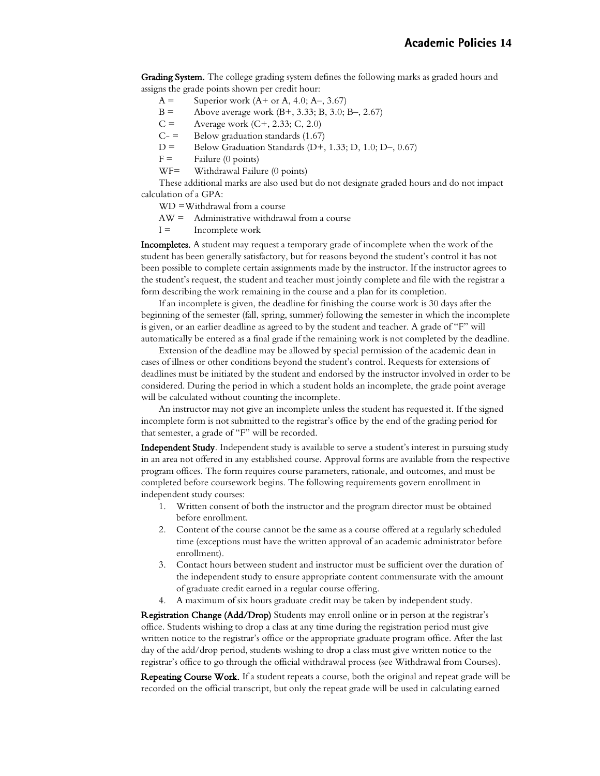Grading System. The college grading system defines the following marks as graded hours and assigns the grade points shown per credit hour:

- $A =$  Superior work  $(A + or A, 4.0; A-, 3.67)$
- B = Above average work  $(B+, 3.33; B, 3.0; B-, 2.67)$
- $C =$  Average work  $(C+, 2.33; C, 2.0)$
- $C =$  Below graduation standards (1.67)
- D = Below Graduation Standards (D+, 1.33; D, 1.0; D–, 0.67)
- $F =$  Failure (0 points)
- WF= Withdrawal Failure (0 points)

These additional marks are also used but do not designate graded hours and do not impact calculation of a GPA:

- WD =Withdrawal from a course
- AW = Administrative withdrawal from a course
- $I =$  Incomplete work

Incompletes. A student may request a temporary grade of incomplete when the work of the student has been generally satisfactory, but for reasons beyond the student's control it has not been possible to complete certain assignments made by the instructor. If the instructor agrees to the student's request, the student and teacher must jointly complete and file with the registrar a form describing the work remaining in the course and a plan for its completion.

If an incomplete is given, the deadline for finishing the course work is 30 days after the beginning of the semester (fall, spring, summer) following the semester in which the incomplete is given, or an earlier deadline as agreed to by the student and teacher. A grade of "F" will automatically be entered as a final grade if the remaining work is not completed by the deadline.

Extension of the deadline may be allowed by special permission of the academic dean in cases of illness or other conditions beyond the student's control. Requests for extensions of deadlines must be initiated by the student and endorsed by the instructor involved in order to be considered. During the period in which a student holds an incomplete, the grade point average will be calculated without counting the incomplete.

An instructor may not give an incomplete unless the student has requested it. If the signed incomplete form is not submitted to the registrar's office by the end of the grading period for that semester, a grade of "F" will be recorded.

Independent Study. Independent study is available to serve a student's interest in pursuing study in an area not offered in any established course. Approval forms are available from the respective program offices. The form requires course parameters, rationale, and outcomes, and must be completed before coursework begins. The following requirements govern enrollment in independent study courses:

- 1. Written consent of both the instructor and the program director must be obtained before enrollment.
- 2. Content of the course cannot be the same as a course offered at a regularly scheduled time (exceptions must have the written approval of an academic administrator before enrollment).
- 3. Contact hours between student and instructor must be sufficient over the duration of the independent study to ensure appropriate content commensurate with the amount of graduate credit earned in a regular course offering.
- 4. A maximum of six hours graduate credit may be taken by independent study.

Registration Change (Add/Drop) Students may enroll online or in person at the registrar's office. Students wishing to drop a class at any time during the registration period must give written notice to the registrar's office or the appropriate graduate program office. After the last day of the add/drop period, students wishing to drop a class must give written notice to the registrar's office to go through the official withdrawal process (see Withdrawal from Courses).

Repeating Course Work. If a student repeats a course, both the original and repeat grade will be recorded on the official transcript, but only the repeat grade will be used in calculating earned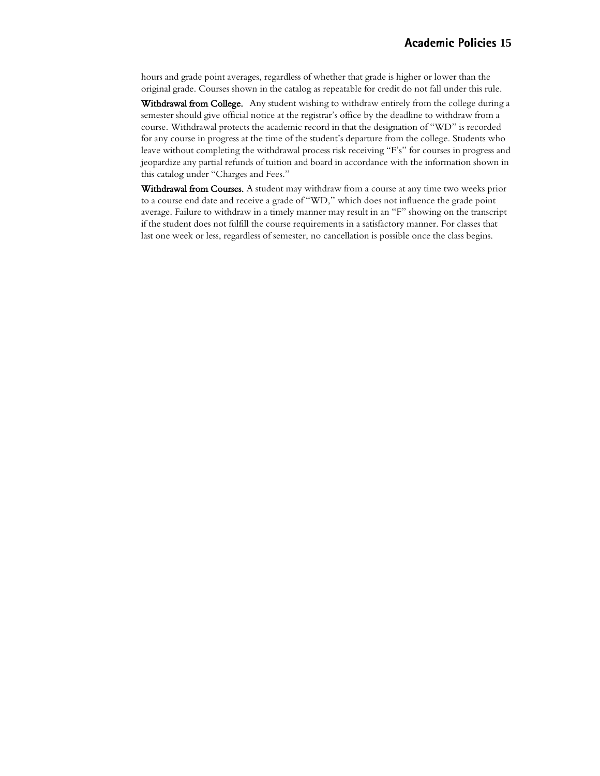hours and grade point averages, regardless of whether that grade is higher or lower than the original grade. Courses shown in the catalog as repeatable for credit do not fall under this rule.

Withdrawal from College. Any student wishing to withdraw entirely from the college during a semester should give official notice at the registrar's office by the deadline to withdraw from a course. Withdrawal protects the academic record in that the designation of "WD" is recorded for any course in progress at the time of the student's departure from the college. Students who leave without completing the withdrawal process risk receiving "F's" for courses in progress and jeopardize any partial refunds of tuition and board in accordance with the information shown in this catalog under "Charges and Fees."

Withdrawal from Courses. A student may withdraw from a course at any time two weeks prior to a course end date and receive a grade of "WD," which does not influence the grade point average. Failure to withdraw in a timely manner may result in an "F" showing on the transcript if the student does not fulfill the course requirements in a satisfactory manner. For classes that last one week or less, regardless of semester, no cancellation is possible once the class begins.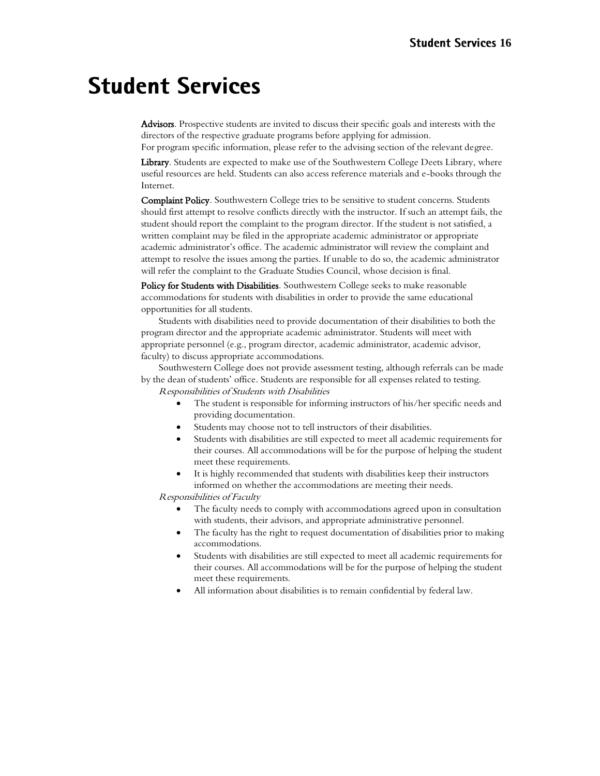## **Student Services**

Advisors. Prospective students are invited to discuss their specific goals and interests with the directors of the respective graduate programs before applying for admission.

For program specific information, please refer to the advising section of the relevant degree.

Library. Students are expected to make use of the Southwestern College Deets Library, where useful resources are held. Students can also access reference materials and e-books through the Internet.

Complaint Policy. Southwestern College tries to be sensitive to student concerns. Students should first attempt to resolve conflicts directly with the instructor. If such an attempt fails, the student should report the complaint to the program director. If the student is not satisfied, a written complaint may be filed in the appropriate academic administrator or appropriate academic administrator's office. The academic administrator will review the complaint and attempt to resolve the issues among the parties. If unable to do so, the academic administrator will refer the complaint to the Graduate Studies Council, whose decision is final.

Policy for Students with Disabilities. Southwestern College seeks to make reasonable accommodations for students with disabilities in order to provide the same educational opportunities for all students.

Students with disabilities need to provide documentation of their disabilities to both the program director and the appropriate academic administrator. Students will meet with appropriate personnel (e.g., program director, academic administrator, academic advisor, faculty) to discuss appropriate accommodations.

Southwestern College does not provide assessment testing, although referrals can be made by the dean of students' office. Students are responsible for all expenses related to testing.

Responsibilities of Students with Disabilities

- The student is responsible for informing instructors of his/her specific needs and providing documentation.
- Students may choose not to tell instructors of their disabilities.
- Students with disabilities are still expected to meet all academic requirements for their courses. All accommodations will be for the purpose of helping the student meet these requirements.
- It is highly recommended that students with disabilities keep their instructors informed on whether the accommodations are meeting their needs.

Responsibilities of Faculty

- The faculty needs to comply with accommodations agreed upon in consultation with students, their advisors, and appropriate administrative personnel.
- The faculty has the right to request documentation of disabilities prior to making accommodations.
- Students with disabilities are still expected to meet all academic requirements for their courses. All accommodations will be for the purpose of helping the student meet these requirements.
- All information about disabilities is to remain confidential by federal law.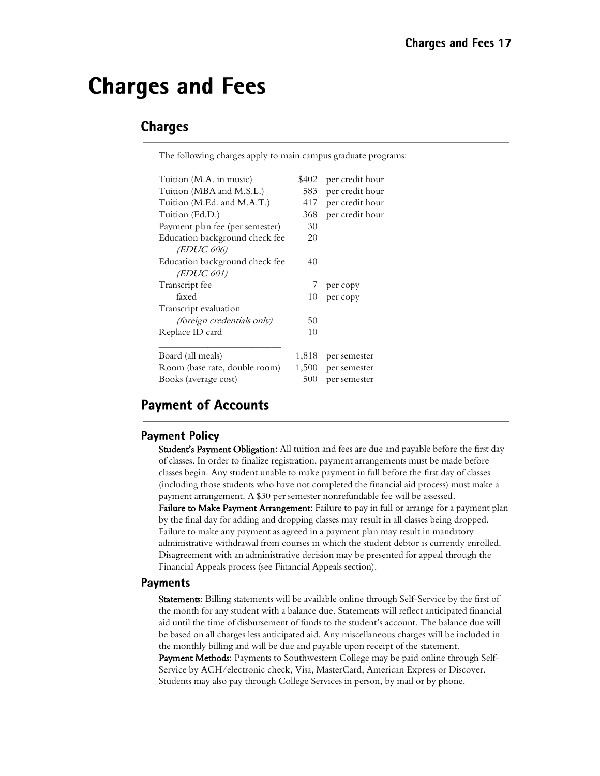## **Charges and Fees**

## **Charges**

The following charges apply to main campus graduate programs:

| Tuition (M.A. in music)           | \$402 | per credit hour |
|-----------------------------------|-------|-----------------|
| Tuition (MBA and M.S.L.)          | 583   | per credit hour |
| Tuition (M.Ed. and M.A.T.)        | 417   | per credit hour |
| Tuition (Ed.D.)                   | 368   | per credit hour |
| Payment plan fee (per semester)   | 30    |                 |
| Education background check fee    | 20    |                 |
| <i>(EDUC 606)</i>                 |       |                 |
| Education background check fee    | 40    |                 |
| <i>(EDUC 601)</i>                 |       |                 |
| Transcript fee                    | 7     | per copy        |
| faxed                             | 10    | per copy        |
| Transcript evaluation             |       |                 |
| <i>(foreign credentials only)</i> | 50    |                 |
| Replace ID card                   | 10    |                 |
|                                   |       |                 |
| Board (all meals)                 | 1,818 | per semester    |
| Room (base rate, double room)     | 1,500 | per semester    |
| Books (average cost)              | 500   | per semester    |

## **Payment of Accounts**

#### **Payment Policy**

Student's Payment Obligation: All tuition and fees are due and payable before the first day of classes. In order to finalize registration, payment arrangements must be made before classes begin. Any student unable to make payment in full before the first day of classes (including those students who have not completed the financial aid process) must make a payment arrangement. A \$30 per semester nonrefundable fee will be assessed. Failure to Make Payment Arrangement: Failure to pay in full or arrange for a payment plan

by the final day for adding and dropping classes may result in all classes being dropped. Failure to make any payment as agreed in a payment plan may result in mandatory administrative withdrawal from courses in which the student debtor is currently enrolled. Disagreement with an administrative decision may be presented for appeal through the Financial Appeals process (see Financial Appeals section).

#### **Payments**

Statements: Billing statements will be available online through Self-Service by the first of the month for any student with a balance due. Statements will reflect anticipated financial aid until the time of disbursement of funds to the student's account. The balance due will be based on all charges less anticipated aid. Any miscellaneous charges will be included in the monthly billing and will be due and payable upon receipt of the statement. Payment Methods: Payments to Southwestern College may be paid online through Self-Service by ACH/electronic check, Visa, MasterCard, American Express or Discover. Students may also pay through College Services in person, by mail or by phone.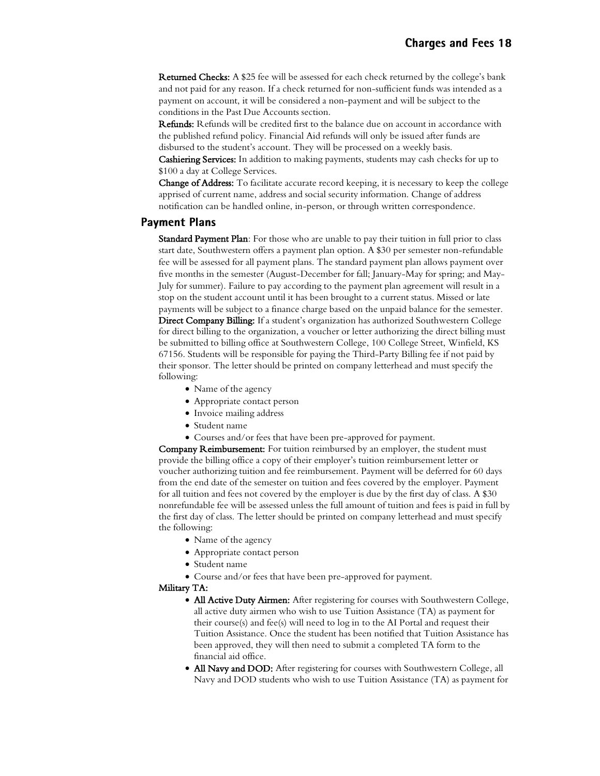Returned Checks: A \$25 fee will be assessed for each check returned by the college's bank and not paid for any reason. If a check returned for non-sufficient funds was intended as a payment on account, it will be considered a non-payment and will be subject to the conditions in the Past Due Accounts section.

Refunds: Refunds will be credited first to the balance due on account in accordance with the published refund policy. Financial Aid refunds will only be issued after funds are disbursed to the student's account. They will be processed on a weekly basis.

Cashiering Services: In addition to making payments, students may cash checks for up to \$100 a day at College Services.

Change of Address: To facilitate accurate record keeping, it is necessary to keep the college apprised of current name, address and social security information. Change of address notification can be handled online, in-person, or through written correspondence.

#### **Payment Plans**

Standard Payment Plan: For those who are unable to pay their tuition in full prior to class start date, Southwestern offers a payment plan option. A \$30 per semester non-refundable fee will be assessed for all payment plans. The standard payment plan allows payment over five months in the semester (August-December for fall; January-May for spring; and May-July for summer). Failure to pay according to the payment plan agreement will result in a stop on the student account until it has been brought to a current status. Missed or late payments will be subject to a finance charge based on the unpaid balance for the semester. Direct Company Billing: If a student's organization has authorized Southwestern College for direct billing to the organization, a voucher or letter authorizing the direct billing must be submitted to billing office at Southwestern College, 100 College Street, Winfield, KS 67156. Students will be responsible for paying the Third-Party Billing fee if not paid by their sponsor. The letter should be printed on company letterhead and must specify the following:

- Name of the agency
- Appropriate contact person
- Invoice mailing address
- Student name
- Courses and/or fees that have been pre-approved for payment.

Company Reimbursement: For tuition reimbursed by an employer, the student must provide the billing office a copy of their employer's tuition reimbursement letter or voucher authorizing tuition and fee reimbursement. Payment will be deferred for 60 days from the end date of the semester on tuition and fees covered by the employer. Payment for all tuition and fees not covered by the employer is due by the first day of class. A \$30 nonrefundable fee will be assessed unless the full amount of tuition and fees is paid in full by the first day of class. The letter should be printed on company letterhead and must specify the following:

- Name of the agency
- Appropriate contact person
- Student name
- Course and/or fees that have been pre-approved for payment.

#### Military TA:

- All Active Duty Airmen: After registering for courses with Southwestern College, all active duty airmen who wish to use Tuition Assistance (TA) as payment for their course(s) and fee(s) will need to log in to the AI Portal and request their Tuition Assistance. Once the student has been notified that Tuition Assistance has been approved, they will then need to submit a completed TA form to the financial aid office.
- All Navy and DOD: After registering for courses with Southwestern College, all Navy and DOD students who wish to use Tuition Assistance (TA) as payment for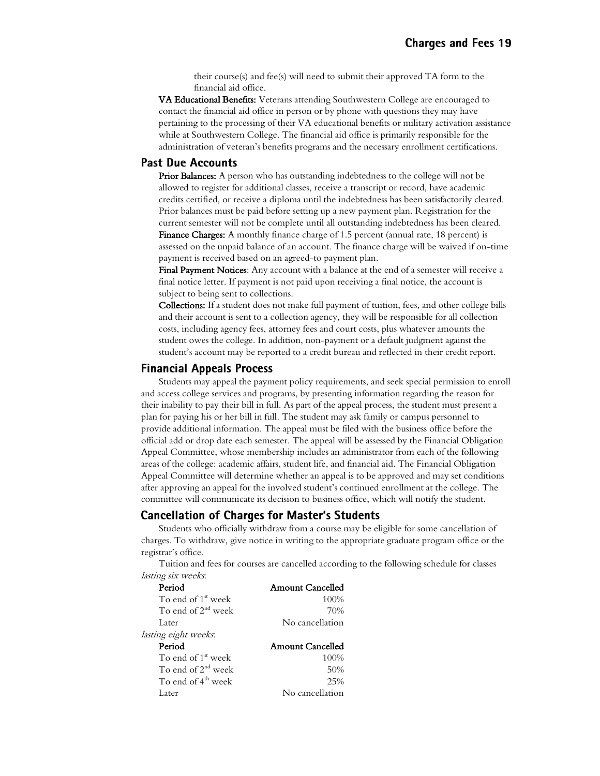their course(s) and fee(s) will need to submit their approved TA form to the financial aid office.

VA Educational Benefits: Veterans attending Southwestern College are encouraged to contact the financial aid office in person or by phone with questions they may have pertaining to the processing of their VA educational benefits or military activation assistance while at Southwestern College. The financial aid office is primarily responsible for the administration of veteran's benefits programs and the necessary enrollment certifications.

#### **Past Due Accounts**

**Prior Balances:** A person who has outstanding indebtedness to the college will not be allowed to register for additional classes, receive a transcript or record, have academic credits certified, or receive a diploma until the indebtedness has been satisfactorily cleared. Prior balances must be paid before setting up a new payment plan. Registration for the current semester will not be complete until all outstanding indebtedness has been cleared.

Finance Charges: A monthly finance charge of 1.5 percent (annual rate, 18 percent) is assessed on the unpaid balance of an account. The finance charge will be waived if on-time payment is received based on an agreed-to payment plan.

Final Payment Notices: Any account with a balance at the end of a semester will receive a final notice letter. If payment is not paid upon receiving a final notice, the account is subject to being sent to collections.

Collections: If a student does not make full payment of tuition, fees, and other college bills and their account is sent to a collection agency, they will be responsible for all collection costs, including agency fees, attorney fees and court costs, plus whatever amounts the student owes the college. In addition, non-payment or a default judgment against the student's account may be reported to a credit bureau and reflected in their credit report.

#### **Financial Appeals Process**

Students may appeal the payment policy requirements, and seek special permission to enroll and access college services and programs, by presenting information regarding the reason for their inability to pay their bill in full. As part of the appeal process, the student must present a plan for paying his or her bill in full. The student may ask family or campus personnel to provide additional information. The appeal must be filed with the business office before the official add or drop date each semester. The appeal will be assessed by the Financial Obligation Appeal Committee, whose membership includes an administrator from each of the following areas of the college: academic affairs, student life, and financial aid. The Financial Obligation Appeal Committee will determine whether an appeal is to be approved and may set conditions after approving an appeal for the involved student's continued enrollment at the college. The committee will communicate its decision to business office, which will notify the student.

#### **Cancellation of Charges for Master's Students**

Students who officially withdraw from a course may be eligible for some cancellation of charges. To withdraw, give notice in writing to the appropriate graduate program office or the registrar's office.

Tuition and fees for courses are cancelled according to the following schedule for classes lasting six weeks:

| Period                         | Amount Cancelled        |
|--------------------------------|-------------------------|
| To end of 1 <sup>st</sup> week | 100%                    |
| To end of $2nd$ week           | 70%                     |
| Later                          | No cancellation         |
| lasting eight weeks.           |                         |
|                                |                         |
| Period                         | <b>Amount Cancelled</b> |
| To end of 1 <sup>st</sup> week | 100%                    |
| To end of $2nd$ week           | 50%                     |
| To end of 4 <sup>th</sup> week | 25%                     |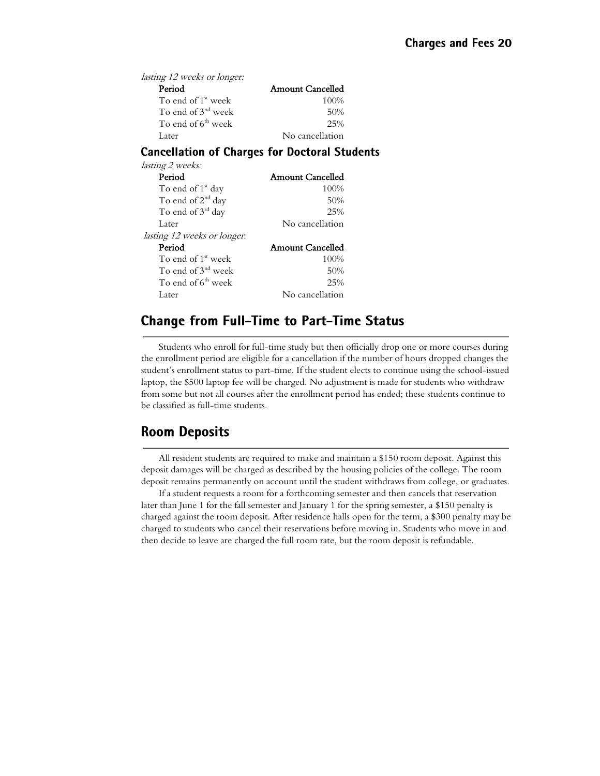| <i>lasting 12 weeks or longer:</i> |                         |
|------------------------------------|-------------------------|
| Period                             | <b>Amount Cancelled</b> |
| To end of $1st$ week               | 100\%                   |
| To end of $3nd$ week               | 50%                     |
| To end of $6th$ week               | 25%                     |
| Later                              | No cancellation         |

#### **Cancellation of Charges for Doctoral Students**

| <i>lasting 2 weeks:</i>            |                         |
|------------------------------------|-------------------------|
| Period                             | Amount Cancelled        |
| To end of 1 <sup>st</sup> day      | 100%                    |
| To end of $2nd$ day                | 50%                     |
| To end of 3 <sup>rd</sup> day      | 25%                     |
| Later                              | No cancellation         |
| <i>lasting 12 weeks or longer.</i> |                         |
| Period                             | <b>Amount Cancelled</b> |
| To end of 1 <sup>st</sup> week     | 100%                    |
| To end of $3nd$ week               | 50%                     |
| To end of $6th$ week               | 25%                     |
| Later                              | No cancellation         |

## **Change from Full-Time to Part-Time Status**

Students who enroll for full-time study but then officially drop one or more courses during the enrollment period are eligible for a cancellation if the number of hours dropped changes the student's enrollment status to part-time. If the student elects to continue using the school-issued laptop, the \$500 laptop fee will be charged. No adjustment is made for students who withdraw from some but not all courses after the enrollment period has ended; these students continue to be classified as full-time students.

## **Room Deposits**

All resident students are required to make and maintain a \$150 room deposit. Against this deposit damages will be charged as described by the housing policies of the college. The room deposit remains permanently on account until the student withdraws from college, or graduates.

If a student requests a room for a forthcoming semester and then cancels that reservation later than June 1 for the fall semester and January 1 for the spring semester, a \$150 penalty is charged against the room deposit. After residence halls open for the term, a \$300 penalty may be charged to students who cancel their reservations before moving in. Students who move in and then decide to leave are charged the full room rate, but the room deposit is refundable.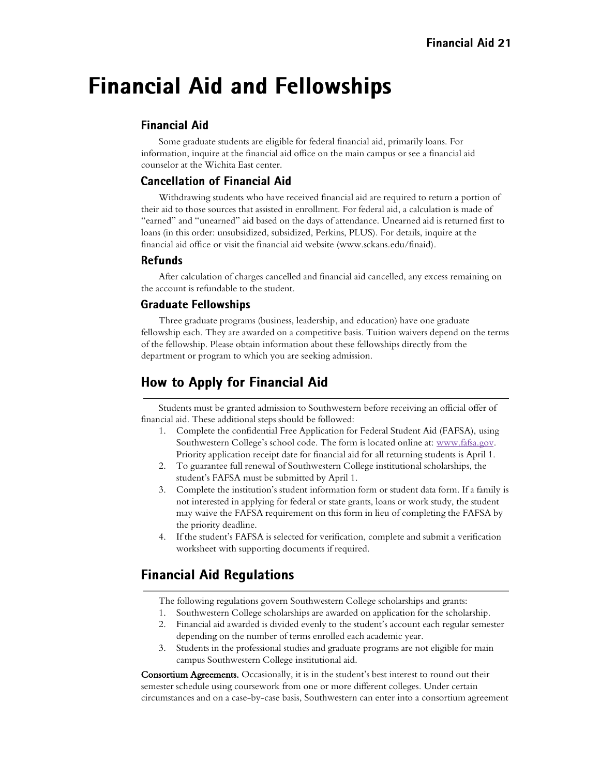## **Financial Aid and Fellowships**

### **Financial Aid**

Some graduate students are eligible for federal financial aid, primarily loans. For information, inquire at the financial aid office on the main campus or see a financial aid counselor at the Wichita East center.

### **Cancellation of Financial Aid**

Withdrawing students who have received financial aid are required to return a portion of their aid to those sources that assisted in enrollment. For federal aid, a calculation is made of "earned" and "unearned" aid based on the days of attendance. Unearned aid is returned first to loans (in this order: unsubsidized, subsidized, Perkins, PLUS). For details, inquire at the financial aid office or visit the financial aid website (www.sckans.edu/finaid).

#### **Refunds**

After calculation of charges cancelled and financial aid cancelled, any excess remaining on the account is refundable to the student.

#### **Graduate Fellowships**

Three graduate programs (business, leadership, and education) have one graduate fellowship each. They are awarded on a competitive basis. Tuition waivers depend on the terms of the fellowship. Please obtain information about these fellowships directly from the department or program to which you are seeking admission.

## **How to Apply for Financial Aid**

Students must be granted admission to Southwestern before receiving an official offer of financial aid. These additional steps should be followed:

- 1. Complete the confidential Free Application for Federal Student Aid (FAFSA), using Southwestern College's school code. The form is located online at: [www.fafsa.gov.](http://www.fafsa.gov/) Priority application receipt date for financial aid for all returning students is April 1.
- 2. To guarantee full renewal of Southwestern College institutional scholarships, the student's FAFSA must be submitted by April 1.
- 3. Complete the institution's student information form or student data form. If a family is not interested in applying for federal or state grants, loans or work study, the student may waive the FAFSA requirement on this form in lieu of completing the FAFSA by the priority deadline.
- 4. If the student's FAFSA is selected for verification, complete and submit a verification worksheet with supporting documents if required.

## **Financial Aid Regulations**

The following regulations govern Southwestern College scholarships and grants:

- 1. Southwestern College scholarships are awarded on application for the scholarship.
- 2. Financial aid awarded is divided evenly to the student's account each regular semester depending on the number of terms enrolled each academic year.
- 3. Students in the professional studies and graduate programs are not eligible for main campus Southwestern College institutional aid.

Consortium Agreements. Occasionally, it is in the student's best interest to round out their semester schedule using coursework from one or more different colleges. Under certain circumstances and on a case-by-case basis, Southwestern can enter into a consortium agreement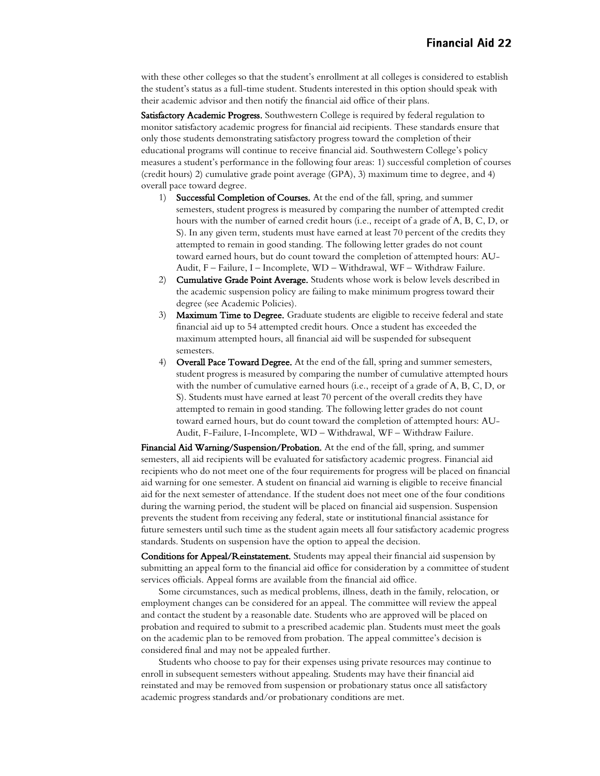with these other colleges so that the student's enrollment at all colleges is considered to establish the student's status as a full-time student. Students interested in this option should speak with their academic advisor and then notify the financial aid office of their plans.

Satisfactory Academic Progress. Southwestern College is required by federal regulation to monitor satisfactory academic progress for financial aid recipients. These standards ensure that only those students demonstrating satisfactory progress toward the completion of their educational programs will continue to receive financial aid. Southwestern College's policy measures a student's performance in the following four areas: 1) successful completion of courses (credit hours) 2) cumulative grade point average (GPA), 3) maximum time to degree, and 4) overall pace toward degree.

- 1) Successful Completion of Courses. At the end of the fall, spring, and summer semesters, student progress is measured by comparing the number of attempted credit hours with the number of earned credit hours (i.e., receipt of a grade of A, B, C, D, or S). In any given term, students must have earned at least 70 percent of the credits they attempted to remain in good standing. The following letter grades do not count toward earned hours, but do count toward the completion of attempted hours: AU-Audit, F – Failure, I – Incomplete, WD – Withdrawal, WF – Withdraw Failure.
- 2) Cumulative Grade Point Average. Students whose work is below levels described in the academic suspension policy are failing to make minimum progress toward their degree (see Academic Policies).
- 3) Maximum Time to Degree. Graduate students are eligible to receive federal and state financial aid up to 54 attempted credit hours. Once a student has exceeded the maximum attempted hours, all financial aid will be suspended for subsequent semesters.
- 4) Overall Pace Toward Degree. At the end of the fall, spring and summer semesters, student progress is measured by comparing the number of cumulative attempted hours with the number of cumulative earned hours (i.e., receipt of a grade of A, B, C, D, or S). Students must have earned at least 70 percent of the overall credits they have attempted to remain in good standing. The following letter grades do not count toward earned hours, but do count toward the completion of attempted hours: AU-Audit, F-Failure, I-Incomplete, WD – Withdrawal, WF – Withdraw Failure.

Financial Aid Warning/Suspension/Probation. At the end of the fall, spring, and summer semesters, all aid recipients will be evaluated for satisfactory academic progress. Financial aid recipients who do not meet one of the four requirements for progress will be placed on financial aid warning for one semester. A student on financial aid warning is eligible to receive financial aid for the next semester of attendance. If the student does not meet one of the four conditions during the warning period, the student will be placed on financial aid suspension. Suspension prevents the student from receiving any federal, state or institutional financial assistance for future semesters until such time as the student again meets all four satisfactory academic progress standards. Students on suspension have the option to appeal the decision.

Conditions for Appeal/Reinstatement. Students may appeal their financial aid suspension by submitting an appeal form to the financial aid office for consideration by a committee of student services officials. Appeal forms are available from the financial aid office.

Some circumstances, such as medical problems, illness, death in the family, relocation, or employment changes can be considered for an appeal. The committee will review the appeal and contact the student by a reasonable date. Students who are approved will be placed on probation and required to submit to a prescribed academic plan. Students must meet the goals on the academic plan to be removed from probation. The appeal committee's decision is considered final and may not be appealed further.

Students who choose to pay for their expenses using private resources may continue to enroll in subsequent semesters without appealing. Students may have their financial aid reinstated and may be removed from suspension or probationary status once all satisfactory academic progress standards and/or probationary conditions are met.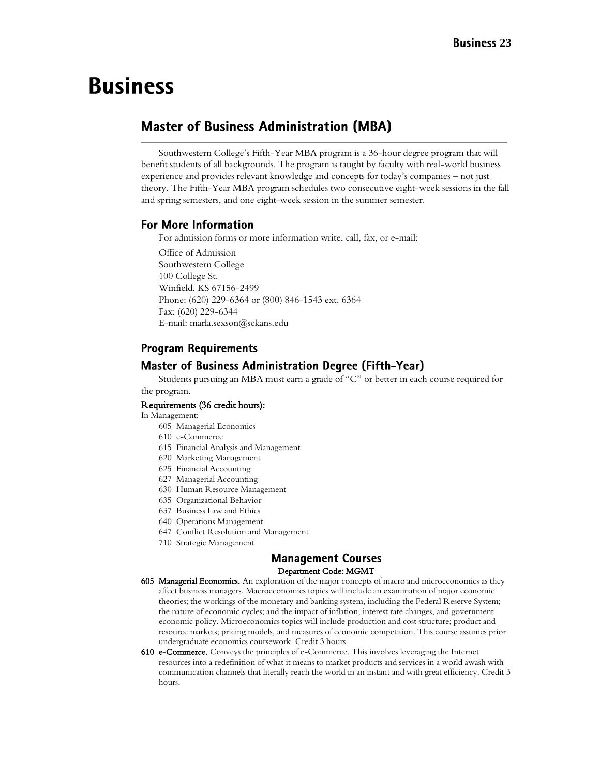## <span id="page-22-0"></span>**Business**

## **Master of Business Administration (MBA)**

Southwestern College's Fifth-Year MBA program is a 36-hour degree program that will benefit students of all backgrounds. The program is taught by faculty with real-world business experience and provides relevant knowledge and concepts for today's companies – not just theory. The Fifth-Year MBA program schedules two consecutive eight-week sessions in the fall and spring semesters, and one eight-week session in the summer semester.

#### **For More Information**

For admission forms or more information write, call, fax, or e-mail:

Office of Admission Southwestern College 100 College St. Winfield, KS 67156-2499 Phone: (620) 229-6364 or (800) 846-1543 ext. 6364 Fax: (620) 229-6344 E-mail: marla.sexson@sckans.edu

#### **Program Requirements**

#### **Master of Business Administration Degree (Fifth-Year)**

Students pursuing an MBA must earn a grade of "C" or better in each course required for the program.

#### Requirements (36 credit hours):

In Management:

- 605 Managerial Economics
- 610 e-Commerce
- 615 Financial Analysis and Management
- 620 Marketing Management
- 625 Financial Accounting
- 627 Managerial Accounting
- 630 Human Resource Management
- 635 Organizational Behavior
- 637 Business Law and Ethics
- 640 Operations Management
- 647 Conflict Resolution and Management
- 710 Strategic Management

## **Management Courses**

#### Department Code: MGMT

- 605 Managerial Economics. An exploration of the major concepts of macro and microeconomics as they affect business managers. Macroeconomics topics will include an examination of major economic theories; the workings of the monetary and banking system, including the Federal Reserve System; the nature of economic cycles; and the impact of inflation, interest rate changes, and government economic policy. Microeconomics topics will include production and cost structure; product and resource markets; pricing models, and measures of economic competition. This course assumes prior undergraduate economics coursework. Credit 3 hours.
- 610 e-Commerce. Conveys the principles of e-Commerce. This involves leveraging the Internet resources into a redefinition of what it means to market products and services in a world awash with communication channels that literally reach the world in an instant and with great efficiency. Credit 3 hours.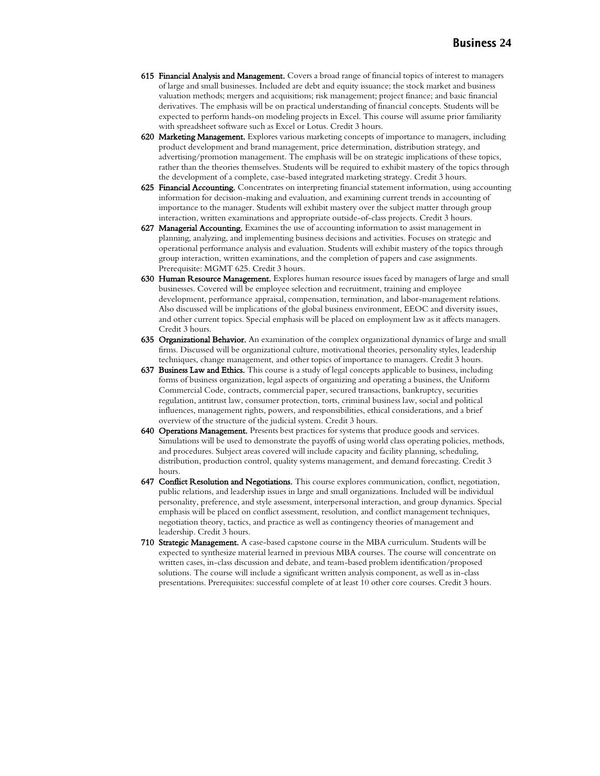- 615 Financial Analysis and Management. Covers a broad range of financial topics of interest to managers of large and small businesses. Included are debt and equity issuance; the stock market and business valuation methods; mergers and acquisitions; risk management; project finance; and basic financial derivatives. The emphasis will be on practical understanding of financial concepts. Students will be expected to perform hands-on modeling projects in Excel. This course will assume prior familiarity with spreadsheet software such as Excel or Lotus. Credit 3 hours.
- 620 Marketing Management. Explores various marketing concepts of importance to managers, including product development and brand management, price determination, distribution strategy, and advertising/promotion management. The emphasis will be on strategic implications of these topics, rather than the theories themselves. Students will be required to exhibit mastery of the topics through the development of a complete, case-based integrated marketing strategy. Credit 3 hours.
- 625 Financial Accounting. Concentrates on interpreting financial statement information, using accounting information for decision-making and evaluation, and examining current trends in accounting of importance to the manager. Students will exhibit mastery over the subject matter through group interaction, written examinations and appropriate outside-of-class projects. Credit 3 hours.
- 627 Managerial Accounting. Examines the use of accounting information to assist management in planning, analyzing, and implementing business decisions and activities. Focuses on strategic and operational performance analysis and evaluation. Students will exhibit mastery of the topics through group interaction, written examinations, and the completion of papers and case assignments. Prerequisite: MGMT 625. Credit 3 hours.
- 630 Human Resource Management. Explores human resource issues faced by managers of large and small businesses. Covered will be employee selection and recruitment, training and employee development, performance appraisal, compensation, termination, and labor-management relations. Also discussed will be implications of the global business environment, EEOC and diversity issues, and other current topics. Special emphasis will be placed on employment law as it affects managers. Credit 3 hours.
- 635 Organizational Behavior. An examination of the complex organizational dynamics of large and small firms. Discussed will be organizational culture, motivational theories, personality styles, leadership techniques, change management, and other topics of importance to managers. Credit 3 hours.
- 637 Business Law and Ethics. This course is a study of legal concepts applicable to business, including forms of business organization, legal aspects of organizing and operating a business, the Uniform Commercial Code, contracts, commercial paper, secured transactions, bankruptcy, securities regulation, antitrust law, consumer protection, torts, criminal business law, social and political influences, management rights, powers, and responsibilities, ethical considerations, and a brief overview of the structure of the judicial system. Credit 3 hours.
- 640 Operations Management. Presents best practices for systems that produce goods and services. Simulations will be used to demonstrate the payoffs of using world class operating policies, methods, and procedures. Subject areas covered will include capacity and facility planning, scheduling, distribution, production control, quality systems management, and demand forecasting. Credit 3 hours.
- 647 Conflict Resolution and Negotiations. This course explores communication, conflict, negotiation, public relations, and leadership issues in large and small organizations. Included will be individual personality, preference, and style assessment, interpersonal interaction, and group dynamics. Special emphasis will be placed on conflict assessment, resolution, and conflict management techniques, negotiation theory, tactics, and practice as well as contingency theories of management and leadership. Credit 3 hours.
- 710 Strategic Management. A case-based capstone course in the MBA curriculum. Students will be expected to synthesize material learned in previous MBA courses. The course will concentrate on written cases, in-class discussion and debate, and team-based problem identification/proposed solutions. The course will include a significant written analysis component, as well as in-class presentations. Prerequisites: successful complete of at least 10 other core courses. Credit 3 hours.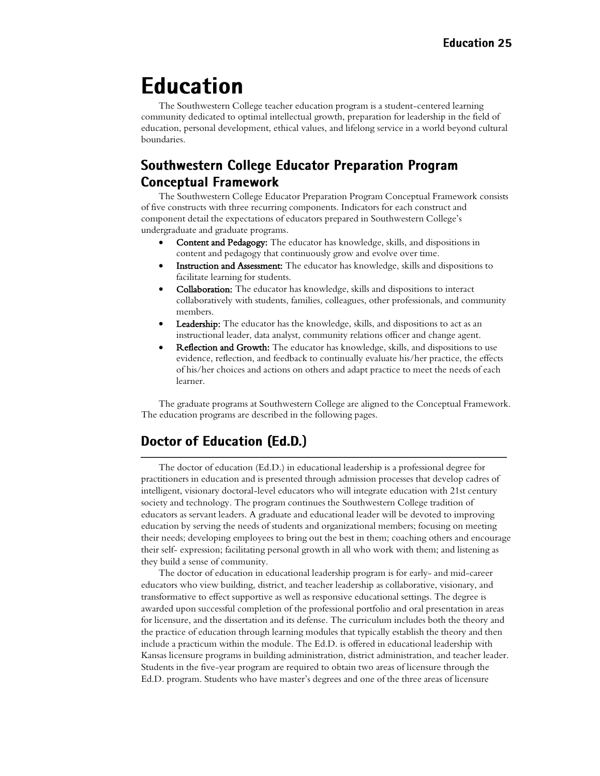## **Education**

The Southwestern College teacher education program is a student-centered learning community dedicated to optimal intellectual growth, preparation for leadership in the field of education, personal development, ethical values, and lifelong service in a world beyond cultural boundaries.

## **Southwestern College Educator Preparation Program Conceptual Framework**

The Southwestern College Educator Preparation Program Conceptual Framework consists of five constructs with three recurring components. Indicators for each construct and component detail the expectations of educators prepared in Southwestern College's undergraduate and graduate programs.

- Content and Pedagogy: The educator has knowledge, skills, and dispositions in content and pedagogy that continuously grow and evolve over time.
- Instruction and Assessment: The educator has knowledge, skills and dispositions to facilitate learning for students.
- Collaboration: The educator has knowledge, skills and dispositions to interact collaboratively with students, families, colleagues, other professionals, and community members.
- Leadership: The educator has the knowledge, skills, and dispositions to act as an instructional leader, data analyst, community relations officer and change agent.
- Reflection and Growth: The educator has knowledge, skills, and dispositions to use evidence, reflection, and feedback to continually evaluate his/her practice, the effects of his/her choices and actions on others and adapt practice to meet the needs of each learner.

The graduate programs at Southwestern College are aligned to the Conceptual Framework. The education programs are described in the following pages.

## <span id="page-24-0"></span>Doctor of Education (Ed.D.)

The doctor of education (Ed.D.) in educational leadership is a professional degree for practitioners in education and is presented through admission processes that develop cadres of intelligent, visionary doctoral-level educators who will integrate education with 21st century society and technology. The program continues the Southwestern College tradition of educators as servant leaders. A graduate and educational leader will be devoted to improving education by serving the needs of students and organizational members; focusing on meeting their needs; developing employees to bring out the best in them; coaching others and encourage their self- expression; facilitating personal growth in all who work with them; and listening as they build a sense of community.

The doctor of education in educational leadership program is for early- and mid-career educators who view building, district, and teacher leadership as collaborative, visionary, and transformative to effect supportive as well as responsive educational settings. The degree is awarded upon successful completion of the professional portfolio and oral presentation in areas for licensure, and the dissertation and its defense. The curriculum includes both the theory and the practice of education through learning modules that typically establish the theory and then include a practicum within the module. The Ed.D. is offered in educational leadership with Kansas licensure programs in building administration, district administration, and teacher leader. Students in the five-year program are required to obtain two areas of licensure through the Ed.D. program. Students who have master's degrees and one of the three areas of licensure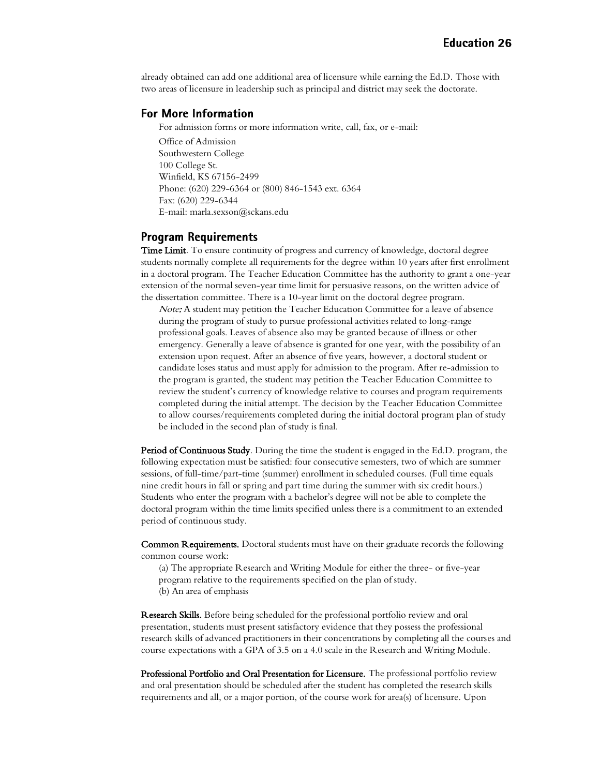already obtained can add one additional area of licensure while earning the Ed.D. Those with two areas of licensure in leadership such as principal and district may seek the doctorate.

#### **For More Information**

For admission forms or more information write, call, fax, or e-mail:

Office of Admission Southwestern College 100 College St. Winfield, KS 67156-2499 Phone: (620) 229-6364 or (800) 846-1543 ext. 6364 Fax: (620) 229-6344 E-mail: marla.sexson@sckans.edu

#### **Program Requirements**

Time Limit. To ensure continuity of progress and currency of knowledge, doctoral degree students normally complete all requirements for the degree within 10 years after first enrollment in a doctoral program. The Teacher Education Committee has the authority to grant a one-year extension of the normal seven-year time limit for persuasive reasons, on the written advice of the dissertation committee. There is a 10-year limit on the doctoral degree program.

Note: A student may petition the Teacher Education Committee for a leave of absence during the program of study to pursue professional activities related to long-range professional goals. Leaves of absence also may be granted because of illness or other emergency. Generally a leave of absence is granted for one year, with the possibility of an extension upon request. After an absence of five years, however, a doctoral student or candidate loses status and must apply for admission to the program. After re-admission to the program is granted, the student may petition the Teacher Education Committee to review the student's currency of knowledge relative to courses and program requirements completed during the initial attempt. The decision by the Teacher Education Committee to allow courses/requirements completed during the initial doctoral program plan of study be included in the second plan of study is final.

Period of Continuous Study. During the time the student is engaged in the Ed.D. program, the following expectation must be satisfied: four consecutive semesters, two of which are summer sessions, of full-time/part-time (summer) enrollment in scheduled courses. (Full time equals nine credit hours in fall or spring and part time during the summer with six credit hours.) Students who enter the program with a bachelor's degree will not be able to complete the doctoral program within the time limits specified unless there is a commitment to an extended period of continuous study.

Common Requirements. Doctoral students must have on their graduate records the following common course work:

- (a) The appropriate Research and Writing Module for either the three- or five-year
- program relative to the requirements specified on the plan of study.
- (b) An area of emphasis

Research Skills. Before being scheduled for the professional portfolio review and oral presentation, students must present satisfactory evidence that they possess the professional research skills of advanced practitioners in their concentrations by completing all the courses and course expectations with a GPA of 3.5 on a 4.0 scale in the Research and Writing Module.

Professional Portfolio and Oral Presentation for Licensure. The professional portfolio review and oral presentation should be scheduled after the student has completed the research skills requirements and all, or a major portion, of the course work for area(s) of licensure. Upon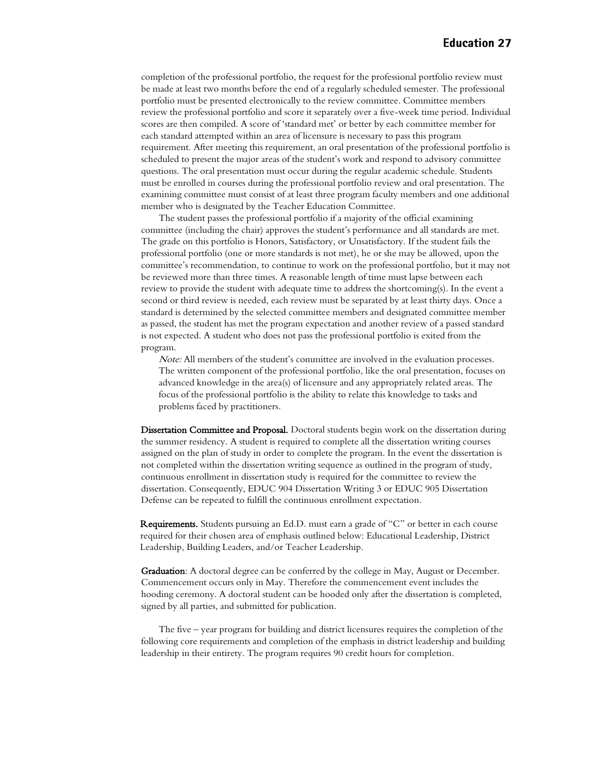completion of the professional portfolio, the request for the professional portfolio review must be made at least two months before the end of a regularly scheduled semester. The professional portfolio must be presented electronically to the review committee. Committee members review the professional portfolio and score it separately over a five-week time period. Individual scores are then compiled. A score of 'standard met' or better by each committee member for each standard attempted within an area of licensure is necessary to pass this program requirement. After meeting this requirement, an oral presentation of the professional portfolio is scheduled to present the major areas of the student's work and respond to advisory committee questions. The oral presentation must occur during the regular academic schedule. Students must be enrolled in courses during the professional portfolio review and oral presentation. The examining committee must consist of at least three program faculty members and one additional member who is designated by the Teacher Education Committee.

The student passes the professional portfolio if a majority of the official examining committee (including the chair) approves the student's performance and all standards are met. The grade on this portfolio is Honors, Satisfactory, or Unsatisfactory. If the student fails the professional portfolio (one or more standards is not met), he or she may be allowed, upon the committee's recommendation, to continue to work on the professional portfolio, but it may not be reviewed more than three times. A reasonable length of time must lapse between each review to provide the student with adequate time to address the shortcoming(s). In the event a second or third review is needed, each review must be separated by at least thirty days. Once a standard is determined by the selected committee members and designated committee member as passed, the student has met the program expectation and another review of a passed standard is not expected. A student who does not pass the professional portfolio is exited from the program.

Note: All members of the student's committee are involved in the evaluation processes. The written component of the professional portfolio, like the oral presentation, focuses on advanced knowledge in the area(s) of licensure and any appropriately related areas. The focus of the professional portfolio is the ability to relate this knowledge to tasks and problems faced by practitioners.

Dissertation Committee and Proposal. Doctoral students begin work on the dissertation during the summer residency. A student is required to complete all the dissertation writing courses assigned on the plan of study in order to complete the program. In the event the dissertation is not completed within the dissertation writing sequence as outlined in the program of study, continuous enrollment in dissertation study is required for the committee to review the dissertation. Consequently, EDUC 904 Dissertation Writing 3 or EDUC 905 Dissertation Defense can be repeated to fulfill the continuous enrollment expectation.

 Requirements. Students pursuing an Ed.D. must earn a grade of "C" or better in each course required for their chosen area of emphasis outlined below: Educational Leadership, District Leadership, Building Leaders, and/or Teacher Leadership.

Graduation: A doctoral degree can be conferred by the college in May, August or December. Commencement occurs only in May. Therefore the commencement event includes the hooding ceremony. A doctoral student can be hooded only after the dissertation is completed, signed by all parties, and submitted for publication.

The five – year program for building and district licensures requires the completion of the following core requirements and completion of the emphasis in district leadership and building leadership in their entirety. The program requires 90 credit hours for completion.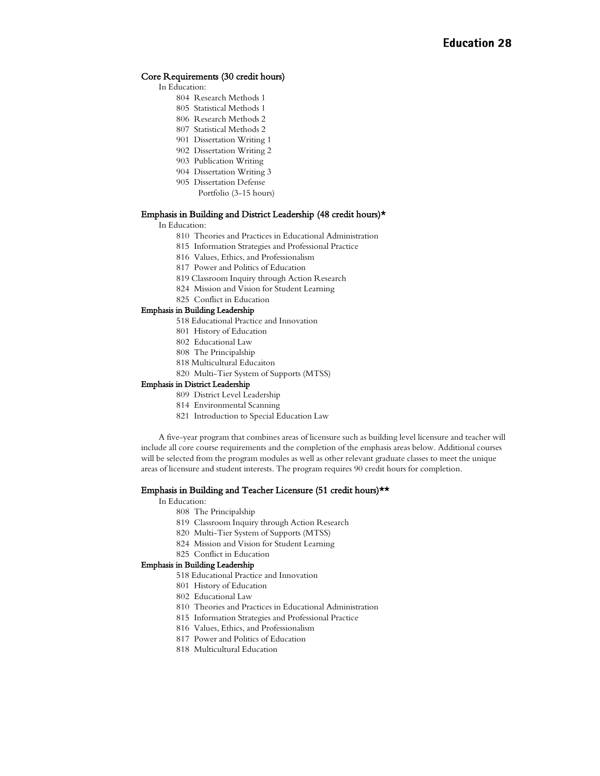#### Core Requirements (30 credit hours)

- In Education:
	- Research Methods 1
	- Statistical Methods 1
	- Research Methods 2
	- Statistical Methods 2
	- Dissertation Writing 1
	- Dissertation Writing 2 Publication Writing
	- Dissertation Writing 3
	- Dissertation Defense
		- Portfolio (3-15 hours)

#### Emphasis in Building and District Leadership (48 credit hours)\*

In Education:

- Theories and Practices in Educational Administration
- Information Strategies and Professional Practice
- Values, Ethics, and Professionalism
- Power and Politics of Education
- 819 Classroom Inquiry through Action Research
- Mission and Vision for Student Learning
- Conflict in Education

#### Emphasis in Building Leadership

- 518 Educational Practice and Innovation
- History of Education
- Educational Law
- The Principalship
- 818 Multicultural Educaiton
- Multi-Tier System of Supports (MTSS)

#### Emphasis in District Leadership

- District Level Leadership
- Environmental Scanning
- Introduction to Special Education Law

A five-year program that combines areas of licensure such as building level licensure and teacher will include all core course requirements and the completion of the emphasis areas below. Additional courses will be selected from the program modules as well as other relevant graduate classes to meet the unique areas of licensure and student interests. The program requires 90 credit hours for completion.

#### Emphasis in Building and Teacher Licensure (51 credit hours)\*\*

#### In Education:

- The Principalship
- Classroom Inquiry through Action Research
- Multi-Tier System of Supports (MTSS)
- Mission and Vision for Student Learning
- Conflict in Education

#### Emphasis in Building Leadership

- 518 Educational Practice and Innovation
- History of Education
- Educational Law
- Theories and Practices in Educational Administration
- Information Strategies and Professional Practice
- Values, Ethics, and Professionalism
- Power and Politics of Education
- Multicultural Education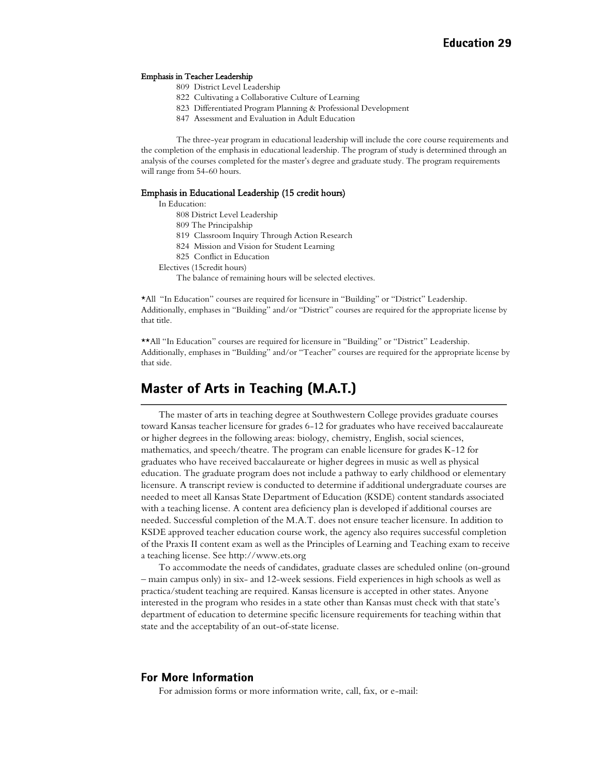#### Emphasis in Teacher Leadership

- 809 District Level Leadership
- 822 Cultivating a Collaborative Culture of Learning
- 823 Differentiated Program Planning & Professional Development
- 847 Assessment and Evaluation in Adult Education

The three-year program in educational leadership will include the core course requirements and the completion of the emphasis in educational leadership. The program of study is determined through an analysis of the courses completed for the master's degree and graduate study. The program requirements will range from 54-60 hours.

#### Emphasis in Educational Leadership (15 credit hours)

In Education:

- 808 District Level Leadership
- 809 The Principalship
- 819 Classroom Inquiry Through Action Research
- 824 Mission and Vision for Student Learning
- 825 Conflict in Education
- Electives (15credit hours)
	- The balance of remaining hours will be selected electives.

\*All "In Education" courses are required for licensure in "Building" or "District" Leadership. Additionally, emphases in "Building" and/or "District" courses are required for the appropriate license by that title.

\*\*All "In Education" courses are required for licensure in "Building" or "District" Leadership. Additionally, emphases in "Building" and/or "Teacher" courses are required for the appropriate license by that side.

## <span id="page-28-0"></span>Master of Arts in Teaching (M.A.T.)

The master of arts in teaching degree at Southwestern College provides graduate courses toward Kansas teacher licensure for grades 6-12 for graduates who have received baccalaureate or higher degrees in the following areas: biology, chemistry, English, social sciences, mathematics, and speech/theatre. The program can enable licensure for grades K-12 for graduates who have received baccalaureate or higher degrees in music as well as physical education. The graduate program does not include a pathway to early childhood or elementary licensure. A transcript review is conducted to determine if additional undergraduate courses are needed to meet all Kansas State Department of Education (KSDE) content standards associated with a teaching license. A content area deficiency plan is developed if additional courses are needed. Successful completion of the M.A.T. does not ensure teacher licensure. In addition to KSDE approved teacher education course work, the agency also requires successful completion of the Praxis II content exam as well as the Principles of Learning and Teaching exam to receive a teaching license. Se[e http://www.ets.org](http://www.ets.org/)

To accommodate the needs of candidates, graduate classes are scheduled online (on-ground – main campus only) in six- and 12-week sessions. Field experiences in high schools as well as practica/student teaching are required. Kansas licensure is accepted in other states. Anyone interested in the program who resides in a state other than Kansas must check with that state's department of education to determine specific licensure requirements for teaching within that state and the acceptability of an out-of-state license.

#### **For More Information**

For admission forms or more information write, call, fax, or e-mail: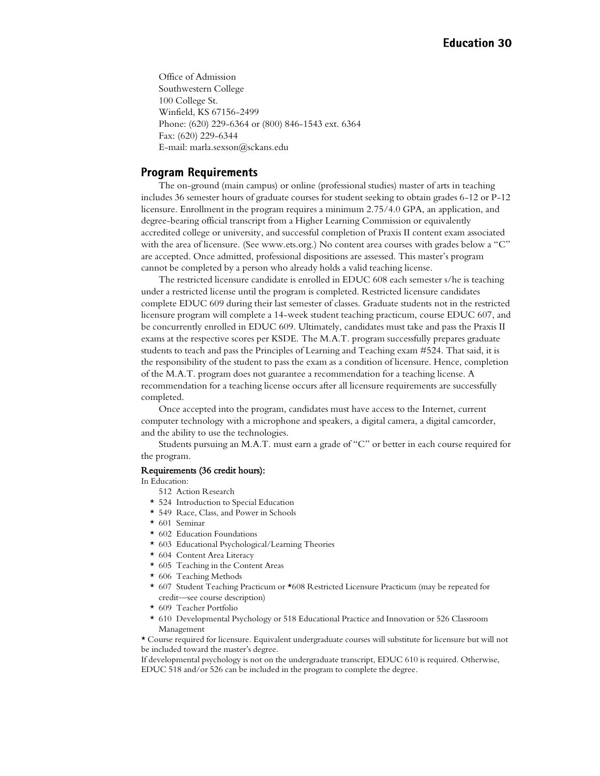Office of Admission Southwestern College 100 College St. Winfield, KS 67156-2499 Phone: (620) 229-6364 or (800) 846-1543 ext. 6364 Fax: (620) 229-6344 E-mail: marla.sexson@sckans.edu

#### **Program Requirements**

The on-ground (main campus) or online (professional studies) master of arts in teaching includes 36 semester hours of graduate courses for student seeking to obtain grades 6-12 or P-12 licensure. Enrollment in the program requires a minimum 2.75/4.0 GPA, an application, and degree-bearing official transcript from a Higher Learning Commission or equivalently accredited college or university, and successful completion of Praxis II content exam associated with the area of licensure. (See [www.ets.org.](http://www.ets.org/)) No content area courses with grades below a "C" are accepted. Once admitted, professional dispositions are assessed. This master's program cannot be completed by a person who already holds a valid teaching license.

The restricted licensure candidate is enrolled in EDUC 608 each semester s/he is teaching under a restricted license until the program is completed. Restricted licensure candidates complete EDUC 609 during their last semester of classes. Graduate students not in the restricted licensure program will complete a 14-week student teaching practicum, course EDUC 607, and be concurrently enrolled in EDUC 609. Ultimately, candidates must take and pass the Praxis II exams at the respective scores per KSDE. The M.A.T. program successfully prepares graduate students to teach and pass the Principles of Learning and Teaching exam #524. That said, it is the responsibility of the student to pass the exam as a condition of licensure. Hence, completion of the M.A.T. program does not guarantee a recommendation for a teaching license. A recommendation for a teaching license occurs after all licensure requirements are successfully completed.

Once accepted into the program, candidates must have access to the Internet, current computer technology with a microphone and speakers, a digital camera, a digital camcorder, and the ability to use the technologies.

Students pursuing an M.A.T. must earn a grade of "C" or better in each course required for the program.

#### Requirements (36 credit hours):

In Education:

- 512 Action Research
- \* 524 Introduction to Special Education
- \* 549 Race, Class, and Power in Schools
- \* 601 Seminar
- \* 602 Education Foundations
- \* 603 Educational Psychological/Learning Theories
- \* 604 Content Area Literacy
- \* 605 Teaching in the Content Areas
- \* 606 Teaching Methods
- \* 607 Student Teaching Practicum or \*608 Restricted Licensure Practicum (may be repeated for credit—see course description)
- \* 609 Teacher Portfolio
- \* 610 Developmental Psychology or 518 Educational Practice and Innovation or 526 Classroom Management

\* Course required for licensure. Equivalent undergraduate courses will substitute for licensure but will not be included toward the master's degree.

If developmental psychology is not on the undergraduate transcript, EDUC 610 is required. Otherwise, EDUC 518 and/or 526 can be included in the program to complete the degree.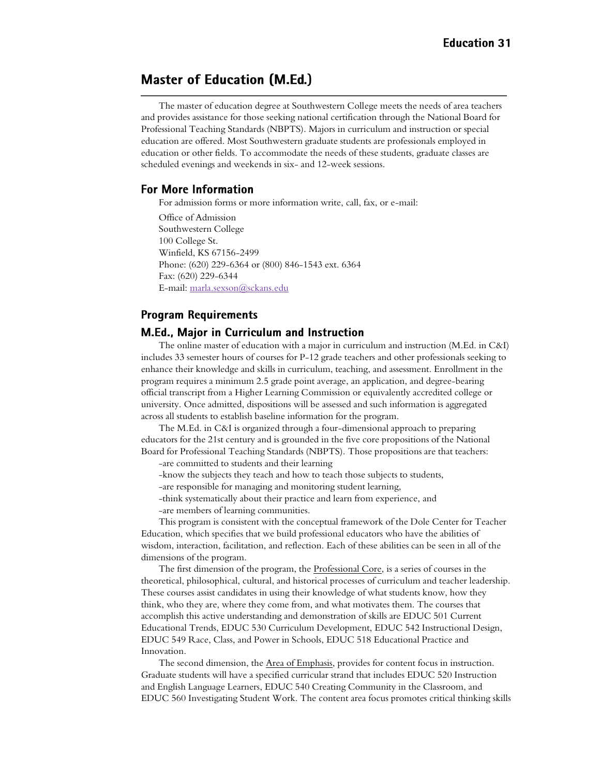## <span id="page-30-0"></span>**Master of Education (M.Ed.)**

The master of education degree at Southwestern College meets the needs of area teachers and provides assistance for those seeking national certification through the National Board for Professional Teaching Standards (NBPTS). Majors in curriculum and instruction or special education are offered. Most Southwestern graduate students are professionals employed in education or other fields. To accommodate the needs of these students, graduate classes are scheduled evenings and weekends in six- and 12-week sessions.

#### **For More Information**

For admission forms or more information write, call, fax, or e-mail:

Office of Admission Southwestern College 100 College St. Winfield, KS 67156-2499 Phone: (620) 229-6364 or (800) 846-1543 ext. 6364 Fax: (620) 229-6344 E-mail: [marla.sexson@sckans.edu](mailto:marla.sexson@sckans.edu)

#### **Program Requirements**

#### <span id="page-30-1"></span>M.Ed., Major in Curriculum and Instruction

The online master of education with a major in curriculum and instruction (M.Ed. in C&I) includes 33 semester hours of courses for P-12 grade teachers and other professionals seeking to enhance their knowledge and skills in curriculum, teaching, and assessment. Enrollment in the program requires a minimum 2.5 grade point average, an application, and degree-bearing official transcript from a Higher Learning Commission or equivalently accredited college or university. Once admitted, dispositions will be assessed and such information is aggregated across all students to establish baseline information for the program.

The M.Ed. in C&I is organized through a four-dimensional approach to preparing educators for the 21st century and is grounded in the five core propositions of the National Board for Professional Teaching Standards (NBPTS). Those propositions are that teachers: -are committed to students and their learning

- -know the subjects they teach and how to teach those subjects to students,
- -are responsible for managing and monitoring student learning,
- -think systematically about their practice and learn from experience, and
- -are members of learning communities.

This program is consistent with the conceptual framework of the Dole Center for Teacher Education, which specifies that we build professional educators who have the abilities of wisdom, interaction, facilitation, and reflection. Each of these abilities can be seen in all of the dimensions of the program.

The first dimension of the program, the Professional Core, is a series of courses in the theoretical, philosophical, cultural, and historical processes of curriculum and teacher leadership. These courses assist candidates in using their knowledge of what students know, how they think, who they are, where they come from, and what motivates them. The courses that accomplish this active understanding and demonstration of skills are EDUC 501 Current Educational Trends, EDUC 530 Curriculum Development, EDUC 542 Instructional Design, EDUC 549 Race, Class, and Power in Schools, EDUC 518 Educational Practice and Innovation.

The second dimension, the Area of Emphasis, provides for content focus in instruction. Graduate students will have a specified curricular strand that includes EDUC 520 Instruction and English Language Learners, EDUC 540 Creating Community in the Classroom, and EDUC 560 Investigating Student Work. The content area focus promotes critical thinking skills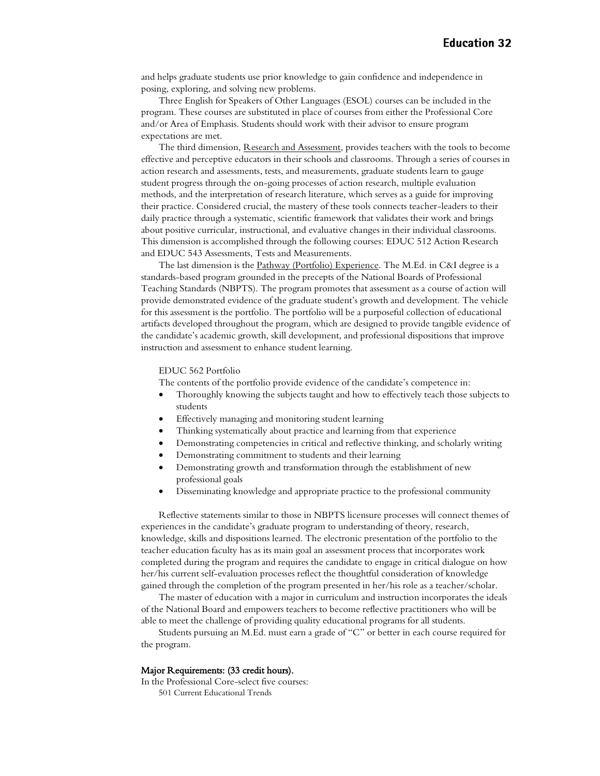and helps graduate students use prior knowledge to gain confidence and independence in posing, exploring, and solving new problems.

Three English for Speakers of Other Languages (ESOL) courses can be included in the program. These courses are substituted in place of courses from either the Professional Core and/or Area of Emphasis. Students should work with their advisor to ensure program expectations are met.

The third dimension, Research and Assessment, provides teachers with the tools to become effective and perceptive educators in their schools and classrooms. Through a series of courses in action research and assessments, tests, and measurements, graduate students learn to gauge student progress through the on-going processes of action research, multiple evaluation methods, and the interpretation of research literature, which serves as a guide for improving their practice. Considered crucial, the mastery of these tools connects teacher-leaders to their daily practice through a systematic, scientific framework that validates their work and brings about positive curricular, instructional, and evaluative changes in their individual classrooms. This dimension is accomplished through the following courses: EDUC 512 Action Research and EDUC 543 Assessments, Tests and Measurements.

The last dimension is the Pathway (Portfolio) Experience. The M.Ed. in C&I degree is a standards-based program grounded in the precepts of the National Boards of Professional Teaching Standards (NBPTS). The program promotes that assessment as a course of action will provide demonstrated evidence of the graduate student's growth and development. The vehicle for this assessment is the portfolio. The portfolio will be a purposeful collection of educational artifacts developed throughout the program, which are designed to provide tangible evidence of the candidate's academic growth, skill development, and professional dispositions that improve instruction and assessment to enhance student learning.

#### EDUC 562 Portfolio

The contents of the portfolio provide evidence of the candidate's competence in:

- Thoroughly knowing the subjects taught and how to effectively teach those subjects to students
- Effectively managing and monitoring student learning
- Thinking systematically about practice and learning from that experience
- Demonstrating competencies in critical and reflective thinking, and scholarly writing
- Demonstrating commitment to students and their learning
- Demonstrating growth and transformation through the establishment of new professional goals
- Disseminating knowledge and appropriate practice to the professional community

Reflective statements similar to those in NBPTS licensure processes will connect themes of experiences in the candidate's graduate program to understanding of theory, research, knowledge, skills and dispositions learned. The electronic presentation of the portfolio to the teacher education faculty has as its main goal an assessment process that incorporates work completed during the program and requires the candidate to engage in critical dialogue on how her/his current self-evaluation processes reflect the thoughtful consideration of knowledge gained through the completion of the program presented in her/his role as a teacher/scholar.

The master of education with a major in curriculum and instruction incorporates the ideals of the National Board and empowers teachers to become reflective practitioners who will be able to meet the challenge of providing quality educational programs for all students.

Students pursuing an M.Ed. must earn a grade of "C" or better in each course required for the program.

#### Major Requirements: (33 credit hours).

In the Professional Core-select five courses:

501 Current Educational Trends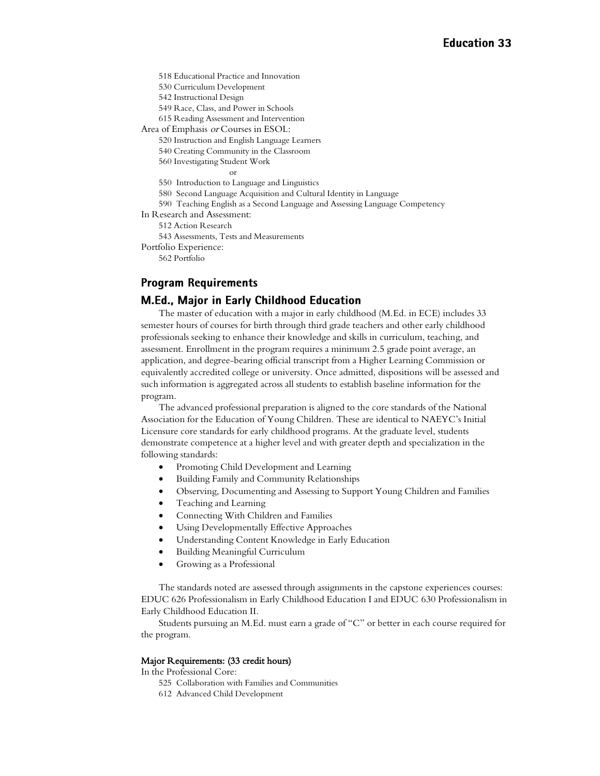518 Educational Practice and Innovation

530 Curriculum Development

542 Instructional Design

549 Race, Class, and Power in Schools

615 Reading Assessment and Intervention

Area of Emphasis or Courses in ESOL:

520 Instruction and English Language Learners

540 Creating Community in the Classroom

560 Investigating Student Work

or

550 Introduction to Language and Linguistics

580 Second Language Acquisition and Cultural Identity in Language

590 Teaching English as a Second Language and Assessing Language Competency

In Research and Assessment:

512 Action Research

543 Assessments, Tests and Measurements

Portfolio Experience:

562 Portfolio

#### **Program Requirements**

#### <span id="page-32-0"></span>M.Ed., Major in Early Childhood Education

The master of education with a major in early childhood (M.Ed. in ECE) includes 33 semester hours of courses for birth through third grade teachers and other early childhood professionals seeking to enhance their knowledge and skills in curriculum, teaching, and assessment. Enrollment in the program requires a minimum 2.5 grade point average, an application, and degree-bearing official transcript from a Higher Learning Commission or equivalently accredited college or university. Once admitted, dispositions will be assessed and such information is aggregated across all students to establish baseline information for the program.

The advanced professional preparation is aligned to the core standards of the National Association for the Education of Young Children. These are identical to NAEYC's Initial Licensure core standards for early childhood programs. At the graduate level, students demonstrate competence at a higher level and with greater depth and specialization in the following standards:

- Promoting Child Development and Learning
- Building Family and Community Relationships
- Observing, Documenting and Assessing to Support Young Children and Families
- Teaching and Learning
- Connecting With Children and Families
- Using Developmentally Effective Approaches
- Understanding Content Knowledge in Early Education
- Building Meaningful Curriculum
- Growing as a Professional

The standards noted are assessed through assignments in the capstone experiences courses: EDUC 626 Professionalism in Early Childhood Education I and EDUC 630 Professionalism in Early Childhood Education II.

Students pursuing an M.Ed. must earn a grade of "C" or better in each course required for the program.

#### Major Requirements: (33 credit hours)

In the Professional Core:

- 525 Collaboration with Families and Communities
- 612 Advanced Child Development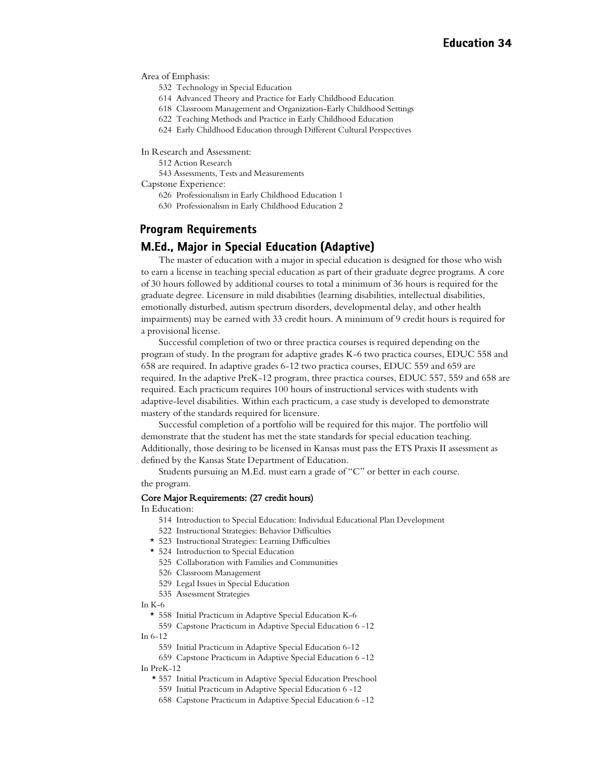Area of Emphasis:

- 532 Technology in Special Education
- 614 Advanced Theory and Practice for Early Childhood Education
- 618 Classroom Management and Organization-Early Childhood Settings
- 622 Teaching Methods and Practice in Early Childhood Education
- 624 Early Childhood Education through Different Cultural Perspectives

In Research and Assessment:

512 Action Research

543 Assessments, Tests and Measurements

Capstone Experience:

626 Professionalism in Early Childhood Education 1

630 Professionalism in Early Childhood Education 2

#### **Program Requirements**

#### <span id="page-33-0"></span>**M.Ed., Major in Special Education (Adaptive)**

The master of education with a major in special education is designed for those who wish to earn a license in teaching special education as part of their graduate degree programs. A core of 30 hours followed by additional courses to total a minimum of 36 hours is required for the graduate degree. Licensure in mild disabilities (learning disabilities, intellectual disabilities, emotionally disturbed, autism spectrum disorders, developmental delay, and other health impairments) may be earned with 33 credit hours. A minimum of 9 credit hours is required for a provisional license.

Successful completion of two or three practica courses is required depending on the program of study. In the program for adaptive grades K-6 two practica courses, EDUC 558 and 658 are required. In adaptive grades 6-12 two practica courses, EDUC 559 and 659 are required. In the adaptive PreK-12 program, three practica courses, EDUC 557, 559 and 658 are required. Each practicum requires 100 hours of instructional services with students with adaptive-level disabilities. Within each practicum, a case study is developed to demonstrate mastery of the standards required for licensure.

Successful completion of a portfolio will be required for this major. The portfolio will demonstrate that the student has met the state standards for special education teaching. Additionally, those desiring to be licensed in Kansas must pass the ETS Praxis II assessment as defined by the Kansas State Department of Education.

Students pursuing an M.Ed. must earn a grade of "C" or better in each course. the program.

#### Core Major Requirements: (27 credit hours)

In Education:

- 514 Introduction to Special Education: Individual Educational Plan Development
- 522 Instructional Strategies: Behavior Difficulties
- \* 523 Instructional Strategies: Learning Difficulties
- \* 524 Introduction to Special Education
	- 525 Collaboration with Families and Communities
	- 526 Classroom Management
	- 529 Legal Issues in Special Education
- 535 Assessment Strategies

In  $K-6$ 

\* 558 Initial Practicum in Adaptive Special Education K-6

559 Capstone Practicum in Adaptive Special Education 6 -12 In 6-12

559 Initial Practicum in Adaptive Special Education 6-12

659 Capstone Practicum in Adaptive Special Education 6 -12

In PreK-12

- \* 557 Initial Practicum in Adaptive Special Education Preschool
- 559 Initial Practicum in Adaptive Special Education 6 -12
- 658 Capstone Practicum in Adaptive Special Education 6 -12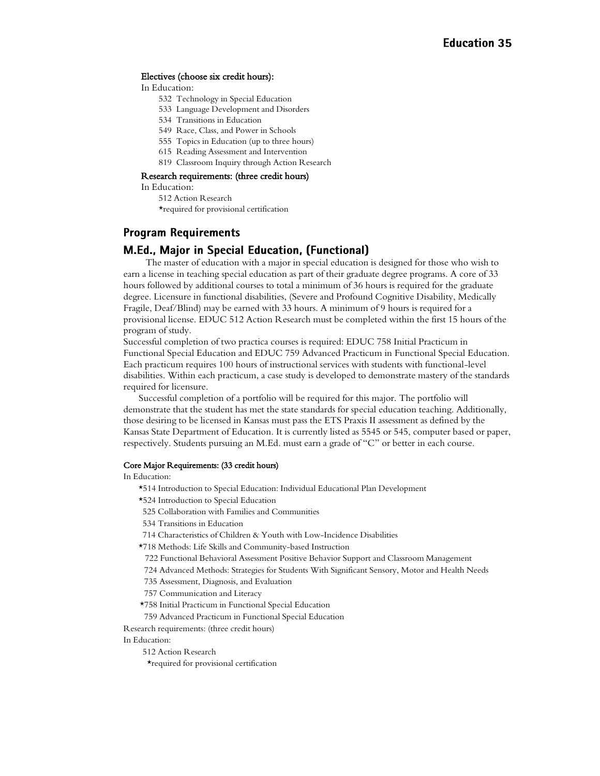#### Electives (choose six credit hours):

In Education:

- 532 Technology in Special Education
- 533 Language Development and Disorders
- 534 Transitions in Education
- 549 Race, Class, and Power in Schools
- 555 Topics in Education (up to three hours)
- 615 Reading Assessment and Intervention
- 819 Classroom Inquiry through Action Research

#### Research requirements: (three credit hours)

In Education:

512 Action Research \*required for provisional certification

#### **Program Requirements**

#### M.Ed., Major in Special Education, (Functional)

 The master of education with a major in special education is designed for those who wish to earn a license in teaching special education as part of their graduate degree programs. A core of 33 hours followed by additional courses to total a minimum of 36 hours is required for the graduate degree. Licensure in functional disabilities, (Severe and Profound Cognitive Disability, Medically Fragile, Deaf/Blind) may be earned with 33 hours. A minimum of 9 hours is required for a provisional license. EDUC 512 Action Research must be completed within the first 15 hours of the program of study.

Successful completion of two practica courses is required: EDUC 758 Initial Practicum in Functional Special Education and EDUC 759 Advanced Practicum in Functional Special Education. Each practicum requires 100 hours of instructional services with students with functional-level disabilities. Within each practicum, a case study is developed to demonstrate mastery of the standards required for licensure.

Successful completion of a portfolio will be required for this major. The portfolio will demonstrate that the student has met the state standards for special education teaching. Additionally, those desiring to be licensed in Kansas must pass the ETS Praxis II assessment as defined by the Kansas State Department of Education. It is currently listed as 5545 or 545, computer based or paper, respectively. Students pursuing an M.Ed. must earn a grade of "C" or better in each course.

#### Core Major Requirements: (33 credit hours)

In Education:

\*514 Introduction to Special Education: Individual Educational Plan Development

\*524 Introduction to Special Education

- 525 Collaboration with Families and Communities
- 534 Transitions in Education
- 714 Characteristics of Children & Youth with Low-Incidence Disabilities
- \*718 Methods: Life Skills and Community-based Instruction
- 722 Functional Behavioral Assessment Positive Behavior Support and Classroom Management
- 724 Advanced Methods: Strategies for Students With Significant Sensory, Motor and Health Needs
- 735 Assessment, Diagnosis, and Evaluation
- 757 Communication and Literacy
- \*758 Initial Practicum in Functional Special Education

759 Advanced Practicum in Functional Special Education

Research requirements: (three credit hours)

In Education:

512 Action Research

\*required for provisional certification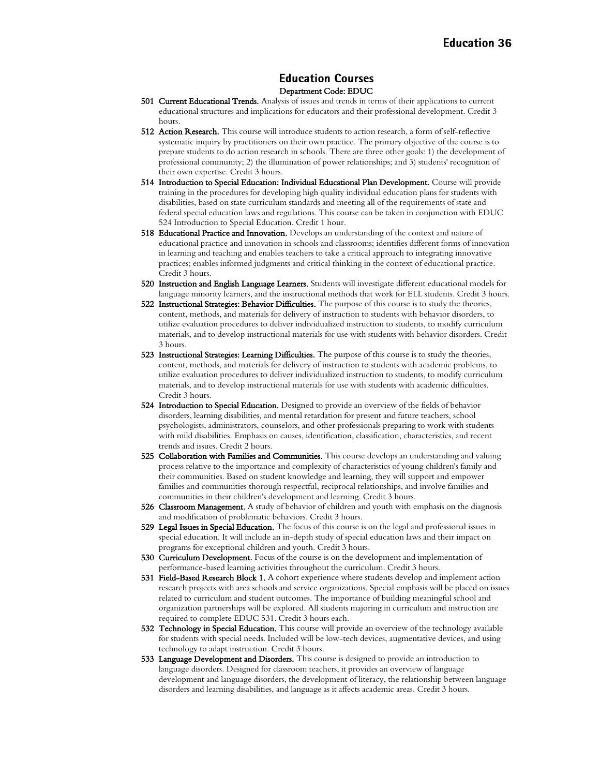#### **Education Courses** Department Code: EDUC

- 501 Current Educational Trends. Analysis of issues and trends in terms of their applications to current educational structures and implications for educators and their professional development. Credit 3 hours.
- 512 Action Research. This course will introduce students to action research, a form of self-reflective systematic inquiry by practitioners on their own practice. The primary objective of the course is to prepare students to do action research in schools. There are three other goals: 1) the development of professional community; 2) the illumination of power relationships; and 3) students' recognition of their own expertise. Credit 3 hours.
- 514 Introduction to Special Education: Individual Educational Plan Development. Course will provide training in the procedures for developing high quality individual education plans for students with disabilities, based on state curriculum standards and meeting all of the requirements of state and federal special education laws and regulations. This course can be taken in conjunction with EDUC 524 Introduction to Special Education. Credit 1 hour.
- 518 Educational Practice and Innovation. Develops an understanding of the context and nature of educational practice and innovation in schools and classrooms; identifies different forms of innovation in learning and teaching and enables teachers to take a critical approach to integrating innovative practices; enables informed judgments and critical thinking in the context of educational practice. Credit 3 hours.
- 520 Instruction and English Language Learners. Students will investigate different educational models for language minority learners, and the instructional methods that work for ELL students. Credit 3 hours.
- 522 Instructional Strategies: Behavior Difficulties. The purpose of this course is to study the theories, content, methods, and materials for delivery of instruction to students with behavior disorders, to utilize evaluation procedures to deliver individualized instruction to students, to modify curriculum materials, and to develop instructional materials for use with students with behavior disorders. Credit 3 hours.
- 523 Instructional Strategies: Learning Difficulties. The purpose of this course is to study the theories, content, methods, and materials for delivery of instruction to students with academic problems, to utilize evaluation procedures to deliver individualized instruction to students, to modify curriculum materials, and to develop instructional materials for use with students with academic difficulties. Credit 3 hours.
- 524 Introduction to Special Education. Designed to provide an overview of the fields of behavior disorders, learning disabilities, and mental retardation for present and future teachers, school psychologists, administrators, counselors, and other professionals preparing to work with students with mild disabilities. Emphasis on causes, identification, classification, characteristics, and recent trends and issues. Credit 2 hours.
- 525 Collaboration with Families and Communities. This course develops an understanding and valuing process relative to the importance and complexity of characteristics of young children's family and their communities. Based on student knowledge and learning, they will support and empower families and communities thorough respectful, reciprocal relationships, and involve families and communities in their children's development and learning. Credit 3 hours.
- 526 Classroom Management. A study of behavior of children and youth with emphasis on the diagnosis and modification of problematic behaviors. Credit 3 hours.
- 529 Legal Issues in Special Education. The focus of this course is on the legal and professional issues in special education. It will include an in-depth study of special education laws and their impact on programs for exceptional children and youth. Credit 3 hours.
- 530 Curriculum Development. Focus of the course is on the development and implementation of performance-based learning activities throughout the curriculum. Credit 3 hours.
- 531 Field-Based Research Block 1. A cohort experience where students develop and implement action research projects with area schools and service organizations. Special emphasis will be placed on issues related to curriculum and student outcomes. The importance of building meaningful school and organization partnerships will be explored. All students majoring in curriculum and instruction are required to complete EDUC 531. Credit 3 hours each.
- 532 Technology in Special Education. This course will provide an overview of the technology available for students with special needs. Included will be low-tech devices, augmentative devices, and using technology to adapt instruction. Credit 3 hours.
- 533 Language Development and Disorders. This course is designed to provide an introduction to language disorders. Designed for classroom teachers, it provides an overview of language development and language disorders, the development of literacy, the relationship between language disorders and learning disabilities, and language as it affects academic areas. Credit 3 hours.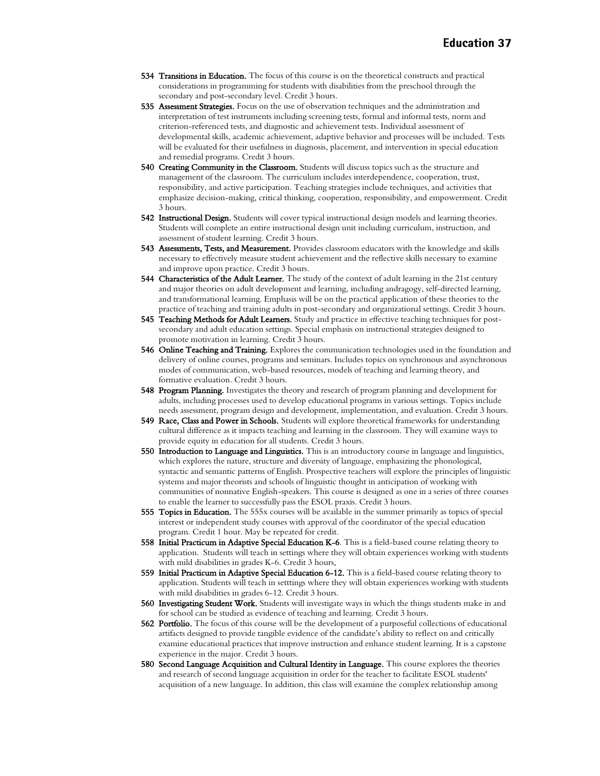- 534 Transitions in Education. The focus of this course is on the theoretical constructs and practical considerations in programming for students with disabilities from the preschool through the secondary and post-secondary level. Credit 3 hours.
- 535 Assessment Strategies. Focus on the use of observation techniques and the administration and interpretation of test instruments including screening tests, formal and informal tests, norm and criterion-referenced tests, and diagnostic and achievement tests. Individual assessment of developmental skills, academic achievement, adaptive behavior and processes will be included. Tests will be evaluated for their usefulness in diagnosis, placement, and intervention in special education and remedial programs. Credit 3 hours.
- 540 Creating Community in the Classroom. Students will discuss topics such as the structure and management of the classroom. The curriculum includes interdependence, cooperation, trust, responsibility, and active participation. Teaching strategies include techniques, and activities that emphasize decision-making, critical thinking, cooperation, responsibility, and empowerment. Credit 3 hours.
- 542 Instructional Design. Students will cover typical instructional design models and learning theories. Students will complete an entire instructional design unit including curriculum, instruction, and assessment of student learning. Credit 3 hours.
- 543 Assessments, Tests, and Measurement. Provides classroom educators with the knowledge and skills necessary to effectively measure student achievement and the reflective skills necessary to examine and improve upon practice. Credit 3 hours.
- 544 Characteristics of the Adult Learner. The study of the context of adult learning in the 21st century and major theories on adult development and learning, including andragogy, self-directed learning, and transformational learning. Emphasis will be on the practical application of these theories to the practice of teaching and training adults in post-secondary and organizational settings. Credit 3 hours.
- 545 Teaching Methods for Adult Learners. Study and practice in effective teaching techniques for postsecondary and adult education settings. Special emphasis on instructional strategies designed to promote motivation in learning. Credit 3 hours.
- 546 Online Teaching and Training. Explores the communication technologies used in the foundation and delivery of online courses, programs and seminars. Includes topics on synchronous and asynchronous modes of communication, web-based resources, models of teaching and learning theory, and formative evaluation. Credit 3 hours.
- 548 Program Planning. Investigates the theory and research of program planning and development for adults, including processes used to develop educational programs in various settings. Topics include needs assessment, program design and development, implementation, and evaluation. Credit 3 hours.
- 549 Race, Class and Power in Schools. Students will explore theoretical frameworks for understanding cultural difference as it impacts teaching and learning in the classroom. They will examine ways to provide equity in education for all students. Credit 3 hours.
- 550 Introduction to Language and Linguistics. This is an introductory course in language and linguistics, which explores the nature, structure and diversity of language, emphasizing the phonological, syntactic and semantic patterns of English. Prospective teachers will explore the principles of linguistic systems and major theorists and schools of linguistic thought in anticipation of working with communities of nonnative English-speakers. This course is designed as one in a series of three courses to enable the learner to successfully pass the ESOL praxis. Credit 3 hours.
- 555 Topics in Education. The 555x courses will be available in the summer primarily as topics of special interest or independent study courses with approval of the coordinator of the special education program. Credit 1 hour. May be repeated for credit.
- 558 Initial Practicum in Adaptive Special Education K-6. This is a field-based course relating theory to application. Students will teach in settings where they will obtain experiences working with students with mild disabilities in grades K-6. Credit 3 hours.
- 559 Initial Practicum in Adaptive Special Education 6-12. This is a field-based course relating theory to application. Students will teach in setttings where they will obtain experiences working with students with mild disabilities in grades 6-12. Credit 3 hours.
- 560 Investigating Student Work. Students will investigate ways in which the things students make in and for school can be studied as evidence of teaching and learning. Credit 3 hours.
- **562 Portfolio.** The focus of this course will be the development of a purposeful collections of educational artifacts designed to provide tangible evidence of the candidate's ability to reflect on and critically examine educational practices that improve instruction and enhance student learning. It is a capstone experience in the major. Credit 3 hours.
- 580 Second Language Acquisition and Cultural Identity in Language. This course explores the theories and research of second language acquisition in order for the teacher to facilitate ESOL students' acquisition of a new language. In addition, this class will examine the complex relationship among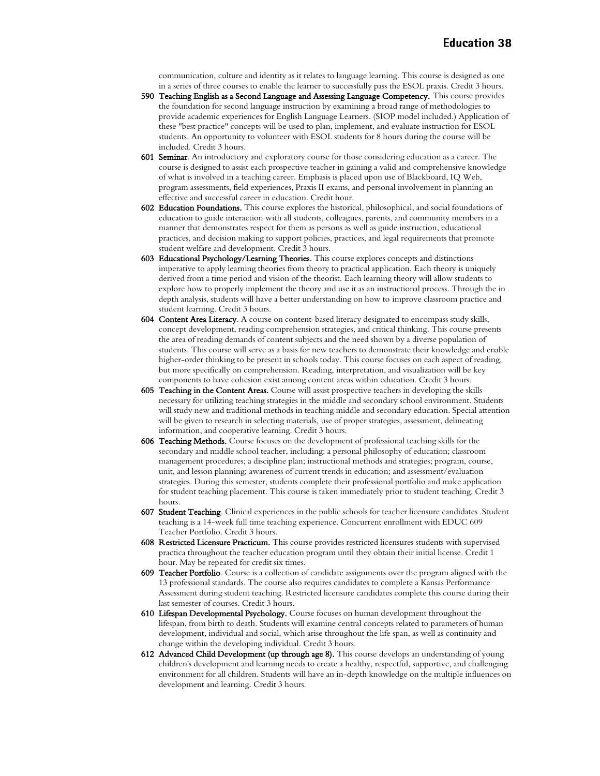communication, culture and identity as it relates to language learning. This course is designed as one in a series of three courses to enable the learner to successfully pass the ESOL praxis. Credit 3 hours.

- 590 Teaching English as a Second Language and Assessing Language Competency. This course provides the foundation for second language instruction by examining a broad range of methodologies to provide academic experiences for English Language Learners. (SIOP model included.) Application of these "best practice" concepts will be used to plan, implement, and evaluate instruction for ESOL students. An opportunity to volunteer with ESOL students for 8 hours during the course will be included. Credit 3 hours.
- 601 Seminar. An introductory and exploratory course for those considering education as a career. The course is designed to assist each prospective teacher in gaining a valid and comprehensive knowledge of what is involved in a teaching career. Emphasis is placed upon use of Blackboard, IQ Web, program assessments, field experiences, Praxis II exams, and personal involvement in planning an effective and successful career in education. Credit hour.
- 602 Education Foundations. This course explores the historical, philosophical, and social foundations of education to guide interaction with all students, colleagues, parents, and community members in a manner that demonstrates respect for them as persons as well as guide instruction, educational practices, and decision making to support policies, practices, and legal requirements that promote student welfare and development. Credit 3 hours.
- 603 Educational Psychology/Learning Theories. This course explores concepts and distinctions imperative to apply learning theories from theory to practical application. Each theory is uniquely derived from a time period and vision of the theorist. Each learning theory will allow students to explore how to properly implement the theory and use it as an instructional process. Through the in depth analysis, students will have a better understanding on how to improve classroom practice and student learning. Credit 3 hours.
- 604 Content Area Literacy. A course on content-based literacy designated to encompass study skills, concept development, reading comprehension strategies, and critical thinking. This course presents the area of reading demands of content subjects and the need shown by a diverse population of students. This course will serve as a basis for new teachers to demonstrate their knowledge and enable higher-order thinking to be present in schools today. This course focuses on each aspect of reading, but more specifically on comprehension. Reading, interpretation, and visualization will be key components to have cohesion exist among content areas within education. Credit 3 hours.
- 605 Teaching in the Content Areas. Course will assist prospective teachers in developing the skills necessary for utilizing teaching strategies in the middle and secondary school environment. Students will study new and traditional methods in teaching middle and secondary education. Special attention will be given to research in selecting materials, use of proper strategies, assessment, delineating information, and cooperative learning. Credit 3 hours.
- 606 Teaching Methods. Course focuses on the development of professional teaching skills for the secondary and middle school teacher, including: a personal philosophy of education; classroom management procedures; a discipline plan; instructional methods and strategies; program, course, unit, and lesson planning; awareness of current trends in education; and assessment/evaluation strategies. During this semester, students complete their professional portfolio and make application for student teaching placement. This course is taken immediately prior to student teaching. Credit 3 hours.
- 607 Student Teaching. Clinical experiences in the public schools for teacher licensure candidates .Student teaching is a 14-week full time teaching experience. Concurrent enrollment with EDUC 609 Teacher Portfolio. Credit 3 hours.
- 608 Restricted Licensure Practicum. This course provides restricted licensures students with supervised practica throughout the teacher education program until they obtain their initial license. Credit 1 hour. May be repeated for credit six times.
- 609 Teacher Portfolio. Course is a collection of candidate assignments over the program aligned with the 13 professional standards. The course also requires candidates to complete a Kansas Performance Assessment during student teaching. Restricted licensure candidates complete this course during their last semester of courses. Credit 3 hours.
- 610 Lifespan Developmental Psychology. Course focuses on human development throughout the lifespan, from birth to death. Students will examine central concepts related to parameters of human development, individual and social, which arise throughout the life span, as well as continuity and change within the developing individual. Credit 3 hours.
- 612 Advanced Child Development (up through age 8). This course develops an understanding of young children's development and learning needs to create a healthy, respectful, supportive, and challenging environment for all children. Students will have an in-depth knowledge on the multiple influences on development and learning. Credit 3 hours.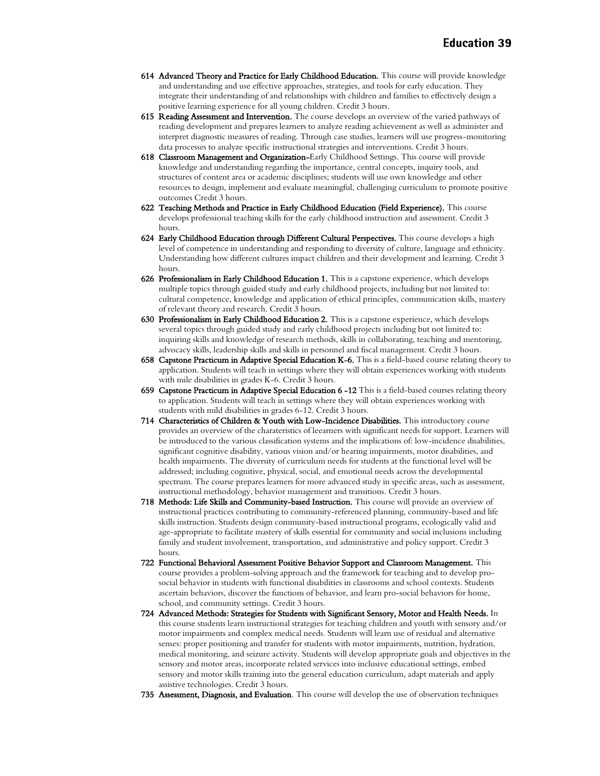- 614 Advanced Theory and Practice for Early Childhood Education. This course will provide knowledge and understanding and use effective approaches, strategies, and tools for early education. They integrate their understanding of and relationships with children and families to effectively design a positive learning experience for all young children. Credit 3 hours.
- 615 Reading Assessment and Intervention. The course develops an overview of the varied pathways of reading development and prepares learners to analyze reading achievement as well as administer and interpret diagnostic measures of reading. Through case studies, learners will use progress-monitoring data processes to analyze specific instructional strategies and interventions. Credit 3 hours.
- 618 Classroom Management and Organization-Early Childhood Settings. This course will provide knowledge and understanding regarding the importance, central concepts, inquiry tools, and structures of content area or academic disciplines; students will use own knowledge and other resources to design, implement and evaluate meaningful, challenging curriculum to promote positive outcomes Credit 3 hours.
- 622 Teaching Methods and Practice in Early Childhood Education (Field Experience). This course develops professional teaching skills for the early childhood instruction and assessment. Credit 3 hours.
- 624 Early Childhood Education through Different Cultural Perspectives. This course develops a high level of competence in understanding and responding to diversity of culture, language and ethnicity. Understanding how different cultures impact children and their development and learning. Credit 3 hours.
- 626 Professionalism in Early Childhood Education 1. This is a capstone experience, which develops multiple topics through guided study and early childhood projects, including but not limited to: cultural competence, knowledge and application of ethical principles, communication skills, mastery of relevant theory and research. Credit 3 hours.
- 630 Professionalism in Early Childhood Education 2. This is a capstone experience, which develops several topics through guided study and early childhood projects including but not limited to: inquiring skills and knowledge of research methods, skills in collaborating, teaching and mentoring, advocacy skills, leadership skills and skills in personnel and fiscal management. Credit 3 hours.
- 658 Capstone Practicum in Adaptive Special Education K-6. This is a field-based course relating theory to application. Students will teach in settings where they will obtain experiences working with students with mile disabilities in grades K-6. Credit 3 hours.
- 659 Capstone Practicum in Adaptive Special Education 6-12 This is a field-based courses relating theory to application. Students will teach in settings where they will obtain experiences working with students with mild disabilities in grades 6-12. Credit 3 hours.
- 714 Characteristics of Children & Youth with Low-Incidence Disabilities. This introductory course provides an overview of the charateristics of leearners with significant needs for support. Learners will be introduced to the various classification systems and the implications of: low-incidence disabilities, significant cognitive disability, various vision and/or hearing impairments, motor disabilities, and health impairments. The diversity of curriculum needs for students at the functional level will be addressed; including cognitive, physical, social, and emotional needs across the developmental spectrum. The course prepares learners for more advanced study in specific areas, such as assessment, instructional methodology, behavior management and transitions. Credit 3 hours.
- 718 Methods: Life Skills and Community-based Instruction. This course will provide an overview of instructional practices contributing to community-referenced planning, community-based and life skills instruction. Students design community-based instructional programs, ecologically valid and age-appropriate to facilitate mastery of skills essential for community and social inclusions including family and student involvement, transportation, and administrative and policy support. Credit 3 hours.
- 722 Functional Behavioral Assessment Positive Behavior Support and Classroom Management. This course provides a problem-solving approach and the framework for teaching and to develop prosocial behavior in students with functional disabilities in classrooms and school contexts. Students ascertain behaviors, discover the functions of behavior, and learn pro-social behaviors for home, school, and community settings. Credit 3 hours.
- 724 Advanced Methods: Strategies for Students with Significant Sensory, Motor and Health Needs. In this course students learn instructional strategies for teaching children and youth with sensory and/or motor impairments and complex medical needs. Students will learn use of residual and alternative senses: proper positioning and transfer for students with motor impairments, nutrition, hydration, medical monitoring, and seizure activity. Students will develop appropriate goals and objectives in the sensory and motor areas, incorporate related services into inclusive educational settings, embed sensory and motor skills training into the general education curriculum, adapt materials and apply assistive technologies. Credit 3 hours.
- 735 Assessment, Diagnosis, and Evaluation. This course will develop the use of observation techniques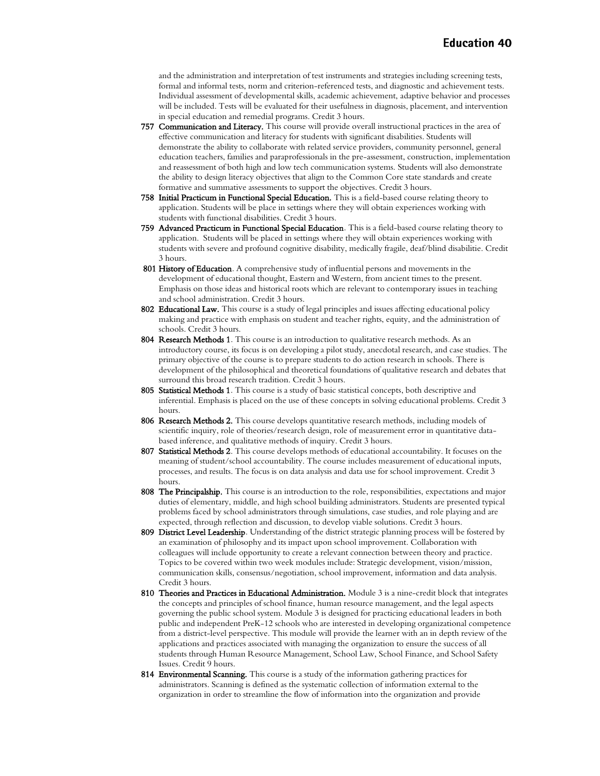and the administration and interpretation of test instruments and strategies including screening tests, formal and informal tests, norm and criterion-referenced tests, and diagnostic and achievement tests. Individual assessment of developmental skills, academic achievement, adaptive behavior and processes will be included. Tests will be evaluated for their usefulness in diagnosis, placement, and intervention in special education and remedial programs. Credit 3 hours.

- 757 Communication and Literacy. This course will provide overall instructional practices in the area of effective communication and literacy for students with significant disabilities. Students will demonstrate the ability to collaborate with related service providers, community personnel, general education teachers, families and paraprofessionals in the pre-assessment, construction, implementation and reassessment of both high and low tech communication systems. Students will also demonstrate the ability to design literacy objectives that align to the Common Core state standards and create formative and summative assessments to support the objectives. Credit 3 hours.
- 758 Initial Practicum in Functional Special Education. This is a field-based course relating theory to application. Students will be place in settings where they will obtain experiences working with students with functional disabilities. Credit 3 hours.
- 759 Advanced Practicum in Functional Special Education. This is a field-based course relating theory to application. Students will be placed in settings where they will obtain experiences working with students with severe and profound cognitive disability, medically fragile, deaf/blind disabilitie. Credit 3 hours.
- 801 History of Education. A comprehensive study of influential persons and movements in the development of educational thought, Eastern and Western, from ancient times to the present. Emphasis on those ideas and historical roots which are relevant to contemporary issues in teaching and school administration. Credit 3 hours.
- 802 Educational Law. This course is a study of legal principles and issues affecting educational policy making and practice with emphasis on student and teacher rights, equity, and the administration of schools. Credit 3 hours.
- 804 Research Methods 1. This course is an introduction to qualitative research methods. As an introductory course, its focus is on developing a pilot study, anecdotal research, and case studies. The primary objective of the course is to prepare students to do action research in schools. There is development of the philosophical and theoretical foundations of qualitative research and debates that surround this broad research tradition. Credit 3 hours.
- 805 Statistical Methods 1. This course is a study of basic statistical concepts, both descriptive and inferential. Emphasis is placed on the use of these concepts in solving educational problems. Credit 3 hours.
- 806 Research Methods 2. This course develops quantitative research methods, including models of scientific inquiry, role of theories/research design, role of measurement error in quantitative databased inference, and qualitative methods of inquiry. Credit 3 hours.
- 807 Statistical Methods 2. This course develops methods of educational accountability. It focuses on the meaning of student/school accountability. The course includes measurement of educational inputs, processes, and results. The focus is on data analysis and data use for school improvement. Credit 3 hours.
- 808 The Principalship. This course is an introduction to the role, responsibilities, expectations and major duties of elementary, middle, and high school building administrators. Students are presented typical problems faced by school administrators through simulations, case studies, and role playing and are expected, through reflection and discussion, to develop viable solutions. Credit 3 hours.
- 809 District Level Leadership. Understanding of the district strategic planning process will be fostered by an examination of philosophy and its impact upon school improvement. Collaboration with colleagues will include opportunity to create a relevant connection between theory and practice. Topics to be covered within two week modules include: Strategic development, vision/mission, communication skills, consensus/negotiation, school improvement, information and data analysis. Credit 3 hours.
- 810 Theories and Practices in Educational Administration. Module 3 is a nine-credit block that integrates the concepts and principles of school finance, human resource management, and the legal aspects governing the public school system. Module 3 is designed for practicing educational leaders in both public and independent PreK-12 schools who are interested in developing organizational competence from a district-level perspective. This module will provide the learner with an in depth review of the applications and practices associated with managing the organization to ensure the success of all students through Human Resource Management, School Law, School Finance, and School Safety Issues. Credit 9 hours.
- 814 Environmental Scanning. This course is a study of the information gathering practices for administrators. Scanning is defined as the systematic collection of information external to the organization in order to streamline the flow of information into the organization and provide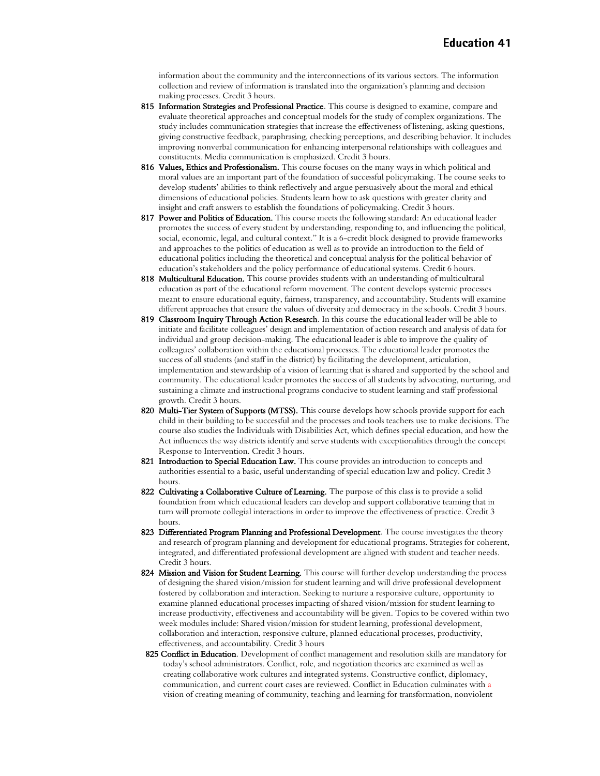information about the community and the interconnections of its various sectors. The information collection and review of information is translated into the organization's planning and decision making processes. Credit 3 hours.

- 815 Information Strategies and Professional Practice. This course is designed to examine, compare and evaluate theoretical approaches and conceptual models for the study of complex organizations. The study includes communication strategies that increase the effectiveness of listening, asking questions, giving constructive feedback, paraphrasing, checking perceptions, and describing behavior. It includes improving nonverbal communication for enhancing interpersonal relationships with colleagues and constituents. Media communication is emphasized. Credit 3 hours.
- 816 Values, Ethics and Professionalism. This course focuses on the many ways in which political and moral values are an important part of the foundation of successful policymaking. The course seeks to develop students' abilities to think reflectively and argue persuasively about the moral and ethical dimensions of educational policies. Students learn how to ask questions with greater clarity and insight and craft answers to establish the foundations of policymaking. Credit 3 hours.
- 817 Power and Politics of Education. This course meets the following standard: An educational leader promotes the success of every student by understanding, responding to, and influencing the political, social, economic, legal, and cultural context." It is a 6-credit block designed to provide frameworks and approaches to the politics of education as well as to provide an introduction to the field of educational politics including the theoretical and conceptual analysis for the political behavior of education's stakeholders and the policy performance of educational systems. Credit 6 hours.
- 818 Multicultural Education. This course provides students with an understanding of multicultural education as part of the educational reform movement. The content develops systemic processes meant to ensure educational equity, fairness, transparency, and accountability. Students will examine different approaches that ensure the values of diversity and democracy in the schools. Credit 3 hours.
- 819 Classroom Inquiry Through Action Research. In this course the educational leader will be able to initiate and facilitate colleagues' design and implementation of action research and analysis of data for individual and group decision-making. The educational leader is able to improve the quality of colleagues' collaboration within the educational processes. The educational leader promotes the success of all students (and staff in the district) by facilitating the development, articulation, implementation and stewardship of a vision of learning that is shared and supported by the school and community. The educational leader promotes the success of all students by advocating, nurturing, and sustaining a climate and instructional programs conducive to student learning and staff professional growth. Credit 3 hours.
- 820 Multi-Tier System of Supports (MTSS). This course develops how schools provide support for each child in their building to be successful and the processes and tools teachers use to make decisions. The course also studies the Individuals with Disabilities Act, which defines special education, and how the Act influences the way districts identify and serve students with exceptionalities through the concept Response to Intervention. Credit 3 hours.
- 821 Introduction to Special Education Law. This course provides an introduction to concepts and authorities essential to a basic, useful understanding of special education law and policy. Credit 3 hours.
- 822 Cultivating a Collaborative Culture of Learning. The purpose of this class is to provide a solid foundation from which educational leaders can develop and support collaborative teaming that in turn will promote collegial interactions in order to improve the effectiveness of practice. Credit 3 hours.
- 823 Differentiated Program Planning and Professional Development. The course investigates the theory and research of program planning and development for educational programs. Strategies for coherent, integrated, and differentiated professional development are aligned with student and teacher needs. Credit 3 hours.
- 824 Mission and Vision for Student Learning. This course will further develop understanding the process of designing the shared vision/mission for student learning and will drive professional development fostered by collaboration and interaction. Seeking to nurture a responsive culture, opportunity to examine planned educational processes impacting of shared vision/mission for student learning to increase productivity, effectiveness and accountability will be given. Topics to be covered within two week modules include: Shared vision/mission for student learning, professional development, collaboration and interaction, responsive culture, planned educational processes, productivity, effectiveness, and accountability. Credit 3 hours
- 825 Conflict in Education. Development of conflict management and resolution skills are mandatory for today's school administrators. Conflict, role, and negotiation theories are examined as well as creating collaborative work cultures and integrated systems. Constructive conflict, diplomacy, communication, and current court cases are reviewed. Conflict in Education culminates with a vision of creating meaning of community, teaching and learning for transformation, nonviolent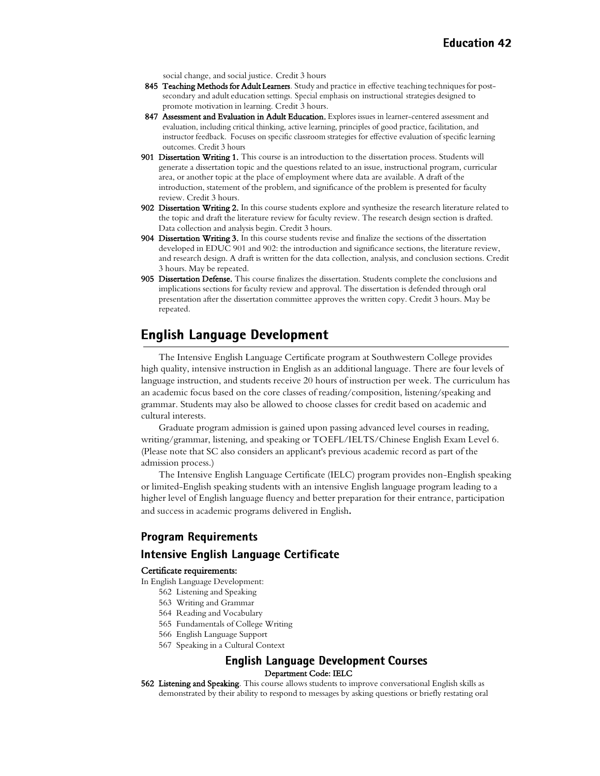social change, and social justice. Credit 3 hours

- 845 Teaching Methods for Adult Learners. Study and practice in effective teaching techniques for postsecondary and adult education settings. Special emphasis on instructional strategies designed to promote motivation in learning. Credit 3 hours.
- 847 Assessment and Evaluation in Adult Education. Explores issues in learner-centered assessment and evaluation, including critical thinking, active learning, principles of good practice, facilitation, and instructor feedback. Focuses on specific classroom strategies for effective evaluation of specific learning outcomes. Credit 3 hours
- 901 Dissertation Writing 1. This course is an introduction to the dissertation process. Students will generate a dissertation topic and the questions related to an issue, instructional program, curricular area, or another topic at the place of employment where data are available. A draft of the introduction, statement of the problem, and significance of the problem is presented for faculty review. Credit 3 hours.
- 902 Dissertation Writing 2. In this course students explore and synthesize the research literature related to the topic and draft the literature review for faculty review. The research design section is drafted. Data collection and analysis begin. Credit 3 hours.
- 904 Dissertation Writing 3. In this course students revise and finalize the sections of the dissertation developed in EDUC 901 and 902: the introduction and significance sections, the literature review, and research design. A draft is written for the data collection, analysis, and conclusion sections. Credit 3 hours. May be repeated.
- 905 Dissertation Defense. This course finalizes the dissertation. Students complete the conclusions and implications sections for faculty review and approval. The dissertation is defended through oral presentation after the dissertation committee approves the written copy. Credit 3 hours. May be repeated.

## <span id="page-41-0"></span>**English Language Development**

The Intensive English Language Certificate program at Southwestern College provides high quality, intensive instruction in English as an additional language. There are four levels of language instruction, and students receive 20 hours of instruction per week. The curriculum has an academic focus based on the core classes of reading/composition, listening/speaking and grammar. Students may also be allowed to choose classes for credit based on academic and cultural interests.

Graduate program admission is gained upon passing advanced level courses in reading, writing/grammar, listening, and speaking or TOEFL/IELTS/Chinese English Exam Level 6. (Please note that SC also considers an applicant's previous academic record as part of the admission process.)

The Intensive English Language Certificate (IELC) program provides non-English speaking or limited-English speaking students with an intensive English language program leading to a higher level of English language fluency and better preparation for their entrance, participation and success in academic programs delivered in English*.*

## **Program Requirements**

#### Intensive English Language Certificate

#### Certificate requirements:

In English Language Development:

- 562 Listening and Speaking
- 563 Writing and Grammar
- 564 Reading and Vocabulary
- 565 Fundamentals of College Writing
- 566 English Language Support
- 567 Speaking in a Cultural Context

#### **English Language Development Courses** Department Code: IELC

562 Listening and Speaking. This course allows students to improve conversational English skills as demonstrated by their ability to respond to messages by asking questions or briefly restating oral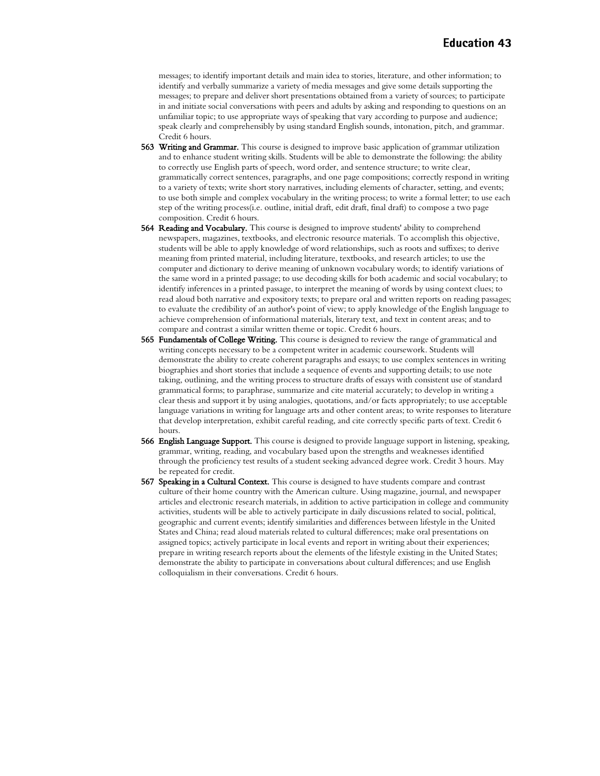messages; to identify important details and main idea to stories, literature, and other information; to identify and verbally summarize a variety of media messages and give some details supporting the messages; to prepare and deliver short presentations obtained from a variety of sources; to participate in and initiate social conversations with peers and adults by asking and responding to questions on an unfamiliar topic; to use appropriate ways of speaking that vary according to purpose and audience; speak clearly and comprehensibly by using standard English sounds, intonation, pitch, and grammar. Credit 6 hours.

- 563 Writing and Grammar. This course is designed to improve basic application of grammar utilization and to enhance student writing skills. Students will be able to demonstrate the following: the ability to correctly use English parts of speech, word order, and sentence structure; to write clear, grammatically correct sentences, paragraphs, and one page compositions; correctly respond in writing to a variety of texts; write short story narratives, including elements of character, setting, and events; to use both simple and complex vocabulary in the writing process; to write a formal letter; to use each step of the writing process(i.e. outline, initial draft, edit draft, final draft) to compose a two page composition. Credit 6 hours.
- **564 Reading and Vocabulary.** This course is designed to improve students' ability to comprehend newspapers, magazines, textbooks, and electronic resource materials. To accomplish this objective, students will be able to apply knowledge of word relationships, such as roots and suffixes; to derive meaning from printed material, including literature, textbooks, and research articles; to use the computer and dictionary to derive meaning of unknown vocabulary words; to identify variations of the same word in a printed passage; to use decoding skills for both academic and social vocabulary; to identify inferences in a printed passage, to interpret the meaning of words by using context clues; to read aloud both narrative and expository texts; to prepare oral and written reports on reading passages; to evaluate the credibility of an author's point of view; to apply knowledge of the English language to achieve comprehension of informational materials, literary text, and text in content areas; and to compare and contrast a similar written theme or topic. Credit 6 hours.
- 565 Fundamentals of College Writing. This course is designed to review the range of grammatical and writing concepts necessary to be a competent writer in academic coursework. Students will demonstrate the ability to create coherent paragraphs and essays; to use complex sentences in writing biographies and short stories that include a sequence of events and supporting details; to use note taking, outlining, and the writing process to structure drafts of essays with consistent use of standard grammatical forms; to paraphrase, summarize and cite material accurately; to develop in writing a clear thesis and support it by using analogies, quotations, and/or facts appropriately; to use acceptable language variations in writing for language arts and other content areas; to write responses to literature that develop interpretation, exhibit careful reading, and cite correctly specific parts of text. Credit 6 hours.
- 566 English Language Support. This course is designed to provide language support in listening, speaking, grammar, writing, reading, and vocabulary based upon the strengths and weaknesses identified through the proficiency test results of a student seeking advanced degree work. Credit 3 hours. May be repeated for credit.
- 567 Speaking in a Cultural Context. This course is designed to have students compare and contrast culture of their home country with the American culture. Using magazine, journal, and newspaper articles and electronic research materials, in addition to active participation in college and community activities, students will be able to actively participate in daily discussions related to social, political, geographic and current events; identify similarities and differences between lifestyle in the United States and China; read aloud materials related to cultural differences; make oral presentations on assigned topics; actively participate in local events and report in writing about their experiences; prepare in writing research reports about the elements of the lifestyle existing in the United States; demonstrate the ability to participate in conversations about cultural differences; and use English colloquialism in their conversations. Credit 6 hours.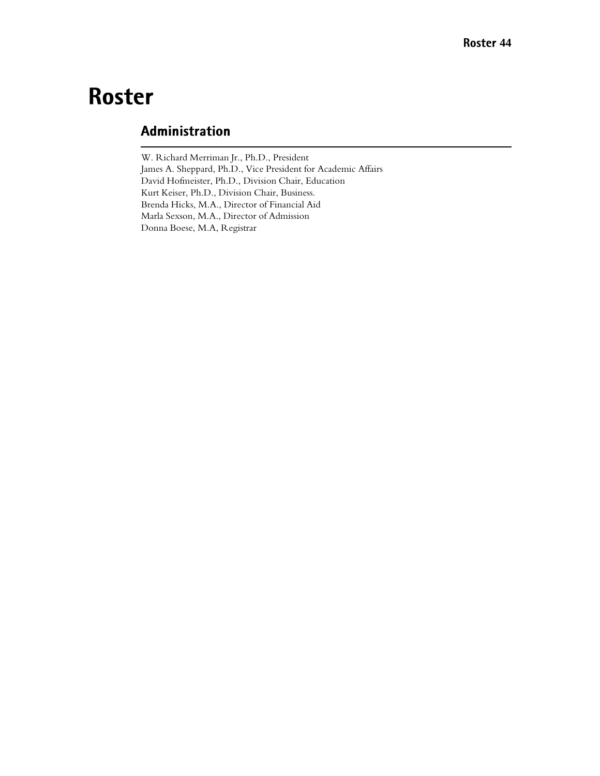## **Roster**

## Administration

W. Richard Merriman Jr., Ph.D., President James A. Sheppard, Ph.D., Vice President for Academic Affairs David Hofmeister, Ph.D., Division Chair, Education Kurt Keiser, Ph.D., Division Chair, Business. Brenda Hicks, M.A., Director of Financial Aid Marla Sexson, M.A., Director of Admission Donna Boese, M.A, Registrar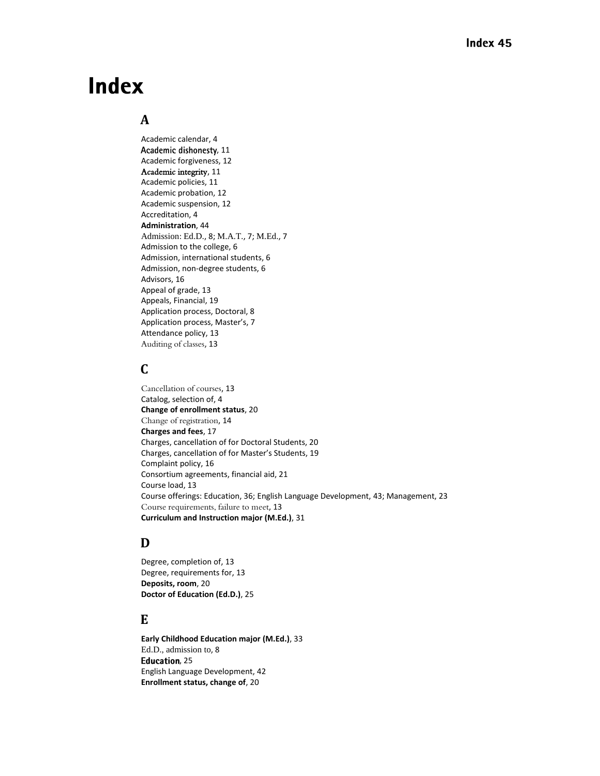## **Index**

## **A**

Academic calendar, 4 Academic dishonesty, 11 Academic forgiveness, 12 Academic integrity, 11 Academic policies, 11 Academic probation, 12 Academic suspension, 12 Accreditation, 4 **Administration**, 44 Admission: Ed.D., 8; M.A.T., 7; M.Ed., 7 Admission to the college, 6 Admission, international students, 6 Admission, non-degree students, 6 Advisors, 16 Appeal of grade, 13 Appeals, Financial, 19 Application process, Doctoral, 8 Application process, Master's, 7 Attendance policy, 13 Auditing of classes, 13

## **C**

Cancellation of courses, 13 Catalog, selection of, 4 **Change of enrollment status**, 20 Change of registration, 14 **Charges and fees**, 17 Charges, cancellation of for Doctoral Students, 20 Charges, cancellation of for Master's Students, 19 Complaint policy, 16 Consortium agreements, financial aid, 21 Course load, 13 Course offerings: Education, 36; English Language Development, 43; Management, 23 Course requirements, failure to meet, 13 **Curriculum and Instruction major (M.Ed.)**, 31

## **D**

Degree, completion of, 13 Degree, requirements for, 13 **Deposits, room**, 20 **Doctor of Education (Ed.D.)**, 25

### **E**

**Early Childhood Education major (M.Ed.)**, 33 Ed.D., admission to, 8 Education, 25 English Language Development, 42 **Enrollment status, change of**, 20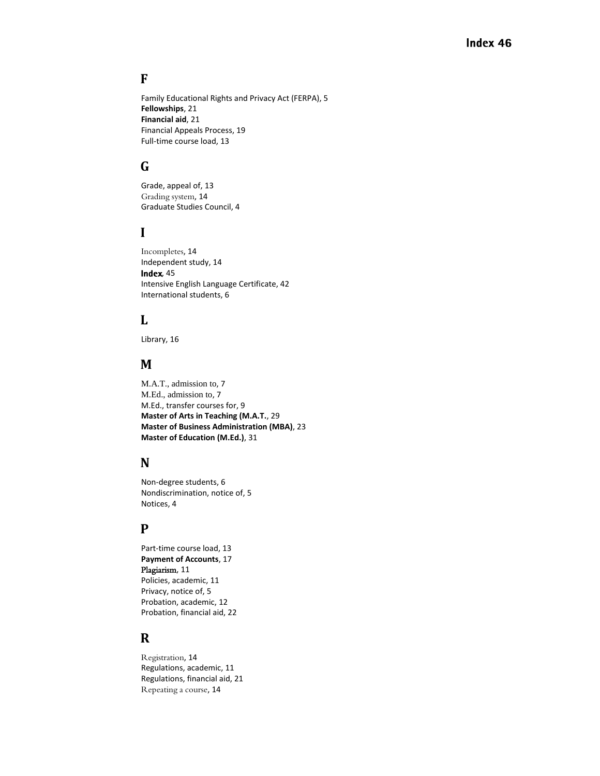## **F**

Family Educational Rights and Privacy Act (FERPA), 5 **Fellowships**, 21 **Financial aid**, 21 Financial Appeals Process, 19 Full-time course load, 13

## **G**

Grade, appeal of, 13 Grading system, 14 Graduate Studies Council, 4

## **I**

Incompletes, 14 Independent study, 14 **Index**, 45 Intensive English Language Certificate, 42 International students, 6

## **L**

Library, 16

### **M**

M.A.T., admission to, 7 M.Ed., admission to, 7 M.Ed., transfer courses for, 9 **Master of Arts in Teaching (M.A.T.**, 29 **Master of Business Administration (MBA)**, 23 **Master of Education (M.Ed.)**, 31

## **N**

Non-degree students, 6 Nondiscrimination, notice of, 5 Notices, 4

## **P**

Part-time course load, 13 **Payment of Accounts**, 17 Plagiarism, 11 Policies, academic, 11 Privacy, notice of, 5 Probation, academic, 12 Probation, financial aid, 22

## **R**

Registration, 14 Regulations, academic, 11 Regulations, financial aid, 21 Repeating a course, 14